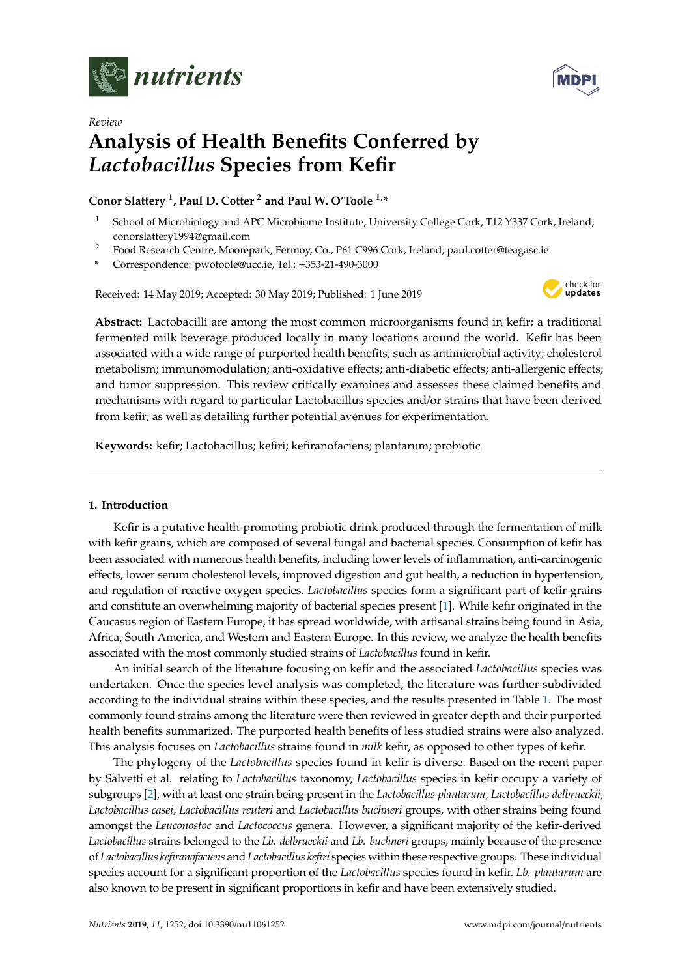

*Review*



# **Analysis of Health Benefits Conferred by** *Lactobacillus* **Species from Kefir**

# **Conor Slattery <sup>1</sup> , Paul D. Cotter <sup>2</sup> and Paul W. O'Toole 1,\***

- School of Microbiology and APC Microbiome Institute, University College Cork, T12 Y337 Cork, Ireland; conorslattery1994@gmail.com
- <sup>2</sup> Food Research Centre, Moorepark, Fermoy, Co., P61 C996 Cork, Ireland; paul.cotter@teagasc.ie
- **\*** Correspondence: pwotoole@ucc.ie, Tel.: +353-21-490-3000

Received: 14 May 2019; Accepted: 30 May 2019; Published: 1 June 2019



**Abstract:** Lactobacilli are among the most common microorganisms found in kefir; a traditional fermented milk beverage produced locally in many locations around the world. Kefir has been associated with a wide range of purported health benefits; such as antimicrobial activity; cholesterol metabolism; immunomodulation; anti-oxidative effects; anti-diabetic effects; anti-allergenic effects; and tumor suppression. This review critically examines and assesses these claimed benefits and mechanisms with regard to particular Lactobacillus species and/or strains that have been derived from kefir; as well as detailing further potential avenues for experimentation.

**Keywords:** kefir; Lactobacillus; kefiri; kefiranofaciens; plantarum; probiotic

# **1. Introduction**

Kefir is a putative health-promoting probiotic drink produced through the fermentation of milk with kefir grains, which are composed of several fungal and bacterial species. Consumption of kefir has been associated with numerous health benefits, including lower levels of inflammation, anti-carcinogenic effects, lower serum cholesterol levels, improved digestion and gut health, a reduction in hypertension, and regulation of reactive oxygen species. *Lactobacillus* species form a significant part of kefir grains and constitute an overwhelming majority of bacterial species present [\[1\]](#page-18-0). While kefir originated in the Caucasus region of Eastern Europe, it has spread worldwide, with artisanal strains being found in Asia, Africa, South America, and Western and Eastern Europe. In this review, we analyze the health benefits associated with the most commonly studied strains of *Lactobacillus* found in kefir.

An initial search of the literature focusing on kefir and the associated *Lactobacillus* species was undertaken. Once the species level analysis was completed, the literature was further subdivided according to the individual strains within these species, and the results presented in Table [1.](#page-2-0) The most commonly found strains among the literature were then reviewed in greater depth and their purported health benefits summarized. The purported health benefits of less studied strains were also analyzed. This analysis focuses on *Lactobacillus* strains found in *milk* kefir, as opposed to other types of kefir.

The phylogeny of the *Lactobacillus* species found in kefir is diverse. Based on the recent paper by Salvetti et al. relating to *Lactobacillus* taxonomy, *Lactobacillus* species in kefir occupy a variety of subgroups [\[2\]](#page-18-1), with at least one strain being present in the *Lactobacillus plantarum*, *Lactobacillus delbrueckii*, *Lactobacillus casei*, *Lactobacillus reuteri* and *Lactobacillus buchneri* groups, with other strains being found amongst the *Leuconostoc* and *Lactococcus* genera. However, a significant majority of the kefir-derived *Lactobacillus* strains belonged to the *Lb. delbrueckii* and *Lb. buchneri* groups, mainly because of the presence of *Lactobacillus kefiranofaciens* and *Lactobacillus kefiri* species within these respective groups. These individual species account for a significant proportion of the *Lactobacillus* species found in kefir. *Lb. plantarum* are also known to be present in significant proportions in kefir and have been extensively studied.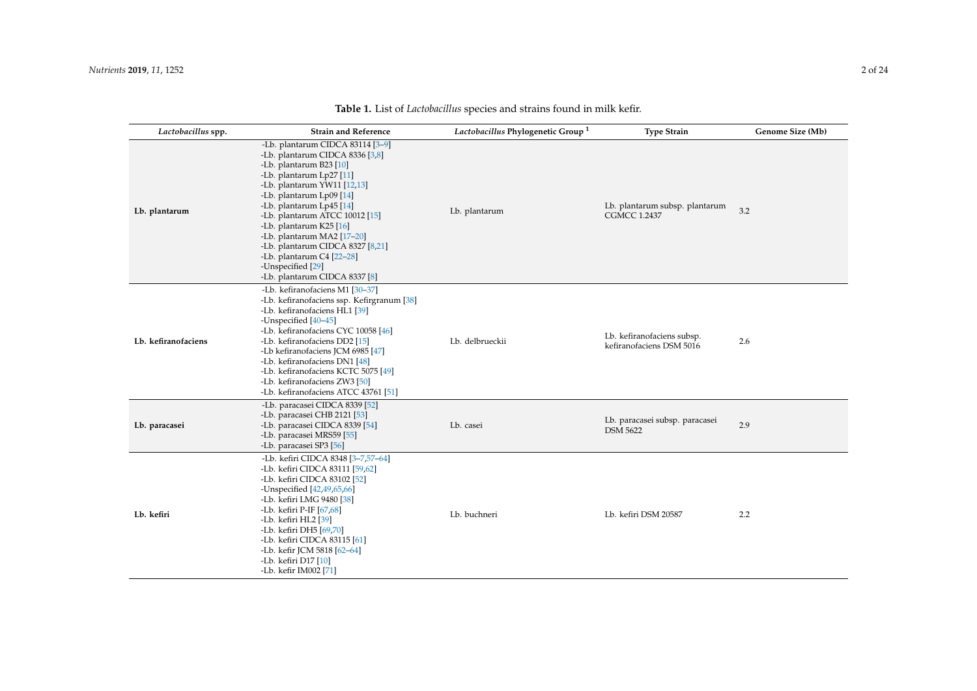| Lactobacillus spp.  | <b>Strain and Reference</b>                                                                                                                                                                                                                                                                                                                                                                                                         | Lactobacillus Phylogenetic Group <sup>1</sup> | <b>Type Strain</b>                                     | Genome Size (Mb) |
|---------------------|-------------------------------------------------------------------------------------------------------------------------------------------------------------------------------------------------------------------------------------------------------------------------------------------------------------------------------------------------------------------------------------------------------------------------------------|-----------------------------------------------|--------------------------------------------------------|------------------|
| Lb. plantarum       | -Lb. plantarum CIDCA 83114 [3-9]<br>-Lb. plantarum CIDCA 8336 [3,8]<br>-Lb. plantarum B23 [10]<br>-Lb. plantarum Lp27 [11]<br>-Lb. plantarum YW11 [12,13]<br>-Lb. plantarum Lp09 [14]<br>-Lb. plantarum Lp45 [14]<br>-Lb. plantarum ATCC 10012 [15]<br>-Lb. plantarum K25 [16]<br>-Lb. plantarum MA2 [17-20]<br>-Lb. plantarum CIDCA 8327 [8,21]<br>-Lb. plantarum C4 [22-28]<br>-Unspecified [29]<br>-Lb. plantarum CIDCA 8337 [8] | Lb. plantarum                                 | Lb. plantarum subsp. plantarum<br><b>CGMCC 1.2437</b>  | 3.2              |
| Lb. kefiranofaciens | -Lb. kefiranofaciens M1 [30-37]<br>-Lb. kefiranofaciens ssp. Kefirgranum [38]<br>-Lb. kefiranofaciens HL1 [39]<br>-Unspecified [40-45]<br>-Lb. kefiranofaciens CYC 10058 [46]<br>-Lb. kefiranofaciens DD2 [15]<br>-Lb kefiranofaciens JCM 6985 [47]<br>-Lb. kefiranofaciens DN1 [48]<br>-Lb. kefiranofaciens KCTC 5075 [49]<br>-Lb. kefiranofaciens ZW3 [50]<br>-Lb. kefiranofaciens ATCC 43761 [51]                                | Lb. delbrueckii                               | Lb. kefiranofaciens subsp.<br>kefiranofaciens DSM 5016 | 2.6              |
| Lb. paracasei       | -Lb. paracasei CIDCA 8339 [52]<br>-Lb. paracasei CHB 2121 [53]<br>-Lb. paracasei CIDCA 8339 [54]<br>-Lb. paracasei MRS59 [55]<br>-Lb. paracasei SP3 [56]                                                                                                                                                                                                                                                                            | Lb. casei                                     | Lb. paracasei subsp. paracasei<br><b>DSM 5622</b>      | 2.9              |
| Lb. kefiri          | -Lb. kefiri CIDCA 8348 [3-7,57-64]<br>-Lb. kefiri CIDCA 83111 [59,62]<br>-Lb. kefiri CIDCA 83102 [52]<br>-Unspecified [42,49,65,66]<br>-Lb. kefiri LMG 9480 [38]<br>-Lb. kefiri P-IF [67,68]<br>-Lb. kefiri HL2 [39]<br>-Lb. kefiri DH5 [69,70]<br>-Lb. kefiri CIDCA 83115 [61]<br>-Lb. kefir JCM 5818 [62-64]<br>-Lb. kefiri D17 [10]<br>-Lb. kefir IM002 [71]                                                                     | Lb. buchneri                                  | Lb. kefiri DSM 20587                                   | 2.2              |

**Table 1.** List of *Lactobacillus* species and strains found in milk kefir.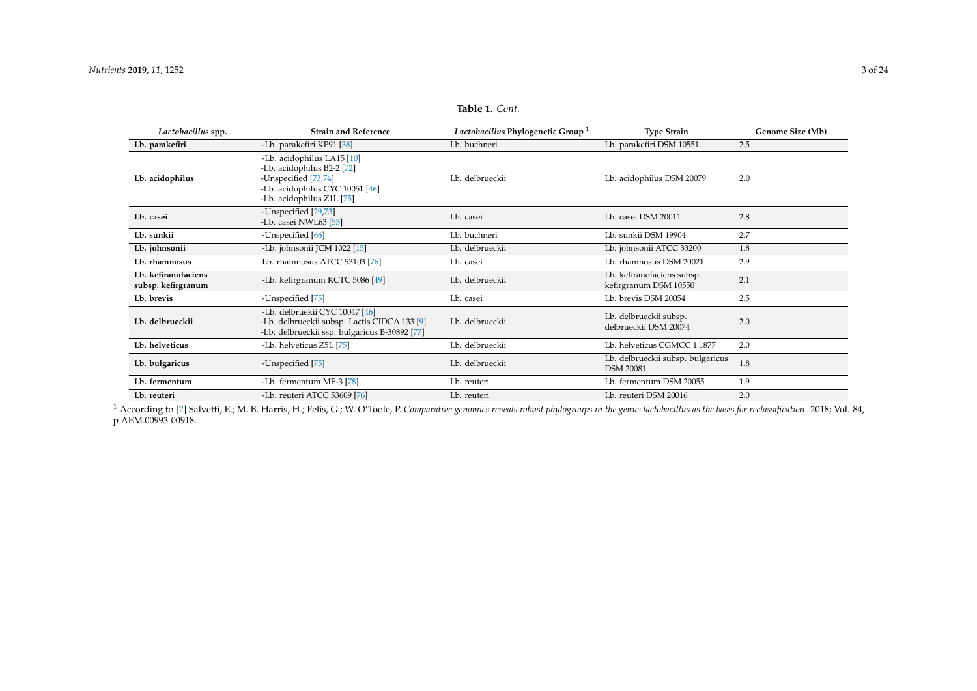| Lactobacillus spp.                        | <b>Strain and Reference</b>                                                                                                                      | Lactobacillus Phylogenetic Group <sup>1</sup> | <b>Type Strain</b>                                    | Genome Size (Mb) |
|-------------------------------------------|--------------------------------------------------------------------------------------------------------------------------------------------------|-----------------------------------------------|-------------------------------------------------------|------------------|
| Lb. parakefiri                            | -Lb. parakefiri KP91 [38]                                                                                                                        | Lb. buchneri                                  | Lb. parakefiri DSM 10551                              | 2.5              |
| Lb. acidophilus                           | -Lb. acidophilus LA15 [10]<br>-Lb. acidophilus B2-2 [72]<br>-Unspecified [73,74]<br>-Lb. acidophilus CYC 10051 [46]<br>-Lb. acidophilus Z1L [75] | Lb. delbrueckii                               | Lb. acidophilus DSM 20079                             | 2.0              |
| Lb. casei                                 | -Unspecified [29,73]<br>-Lb. casei NWL63 [53]                                                                                                    | Lb. casei                                     | Lb. casei DSM 20011                                   | 2.8              |
| Lb. sunkii                                | -Unspecified [66]                                                                                                                                | Lb. buchneri                                  | Lb. sunkii DSM 19904                                  | 2.7              |
| Lb. johnsonii                             | -Lb. johnsonii JCM 1022 [15]                                                                                                                     | Lb. delbrueckii                               | Lb. johnsonii ATCC 33200                              | 1.8              |
| Lb. rhamnosus                             | Lb. rhamnosus ATCC 53103 [76]                                                                                                                    | Lb. casei                                     | Lb. rhamnosus DSM 20021                               | 2.9              |
| Lb. kefiranofaciens<br>subsp. kefirgranum | -Lb. kefirgranum KCTC 5086 [49]                                                                                                                  | Lb. delbrueckii                               | Lb. kefiranofaciens subsp.<br>kefirgranum DSM 10550   | 2.1              |
| Lb. brevis                                | -Unspecified [75]                                                                                                                                | Lb. casei                                     | Lb. brevis DSM 20054                                  | 2.5              |
| Lb. delbrueckii                           | -Lb. delbruekii CYC 10047 [46]<br>-Lb. delbrueckii subsp. Lactis CIDCA 133 [9]<br>-Lb. delbrueckii ssp. bulgaricus B-30892 [77]                  | Lb. delbrueckii                               | Lb. delbrueckii subsp.<br>delbrueckii DSM 20074       | 2.0              |
| Lb. helveticus                            | -Lb. helveticus Z5L [75]                                                                                                                         | Lb. delbrueckii                               | Lb. helveticus CGMCC 1.1877                           | 2.0              |
| Lb. bulgaricus                            | -Unspecified [75]                                                                                                                                | Lb. delbrueckii                               | Lb. delbrueckii subsp. bulgaricus<br><b>DSM 20081</b> | 1.8              |
| Lb. fermentum                             | -Lb. fermentum ME-3 [78]                                                                                                                         | Lb. reuteri                                   | Lb. fermentum DSM 20055                               | 1.9              |
| Lb. reuteri                               | -Lb. reuteri ATCC 53609 [76]                                                                                                                     | Lb. reuteri                                   | Lb. reuteri DSM 20016                                 | 2.0              |

**Table 1.** *Cont.*

<span id="page-2-0"></span><sup>1</sup> According to [\[2\]](#page-18-3) Salvetti, E.; M. B. Harris, H.; Felis, G.; W. O'Toole, P. *Comparative genomics reveals robust phylogroups in the genus lactobacillus as the basis for reclassification*. 2018; Vol. 84, p AEM.00993-00918.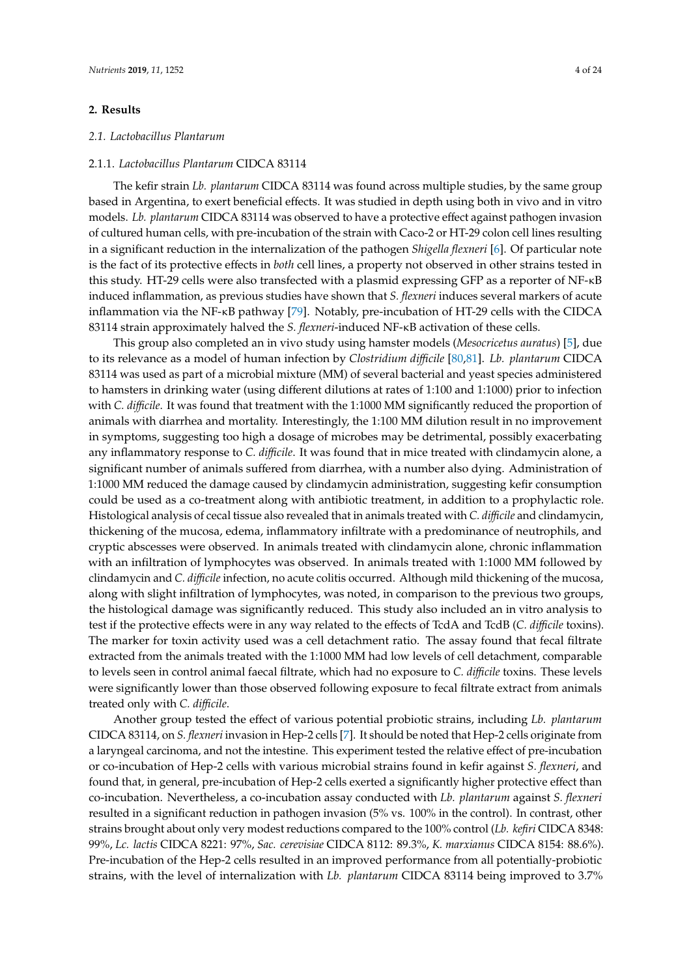# **2. Results**

### *2.1. Lactobacillus Plantarum*

# 2.1.1. *Lactobacillus Plantarum* CIDCA 83114

The kefir strain *Lb. plantarum* CIDCA 83114 was found across multiple studies, by the same group based in Argentina, to exert beneficial effects. It was studied in depth using both in vivo and in vitro models. *Lb. plantarum* CIDCA 83114 was observed to have a protective effect against pathogen invasion of cultured human cells, with pre-incubation of the strain with Caco-2 or HT-29 colon cell lines resulting in a significant reduction in the internalization of the pathogen *Shigella flexneri* [\[6\]](#page-19-14). Of particular note is the fact of its protective effects in *both* cell lines, a property not observed in other strains tested in this study. HT-29 cells were also transfected with a plasmid expressing GFP as a reporter of NF-κB induced inflammation, as previous studies have shown that *S. flexneri* induces several markers of acute inflammation via the NF-κB pathway [\[79\]](#page-22-16). Notably, pre-incubation of HT-29 cells with the CIDCA 83114 strain approximately halved the *S. flexneri*-induced NF-κB activation of these cells.

This group also completed an in vivo study using hamster models (*Mesocricetus auratus*) [\[5\]](#page-18-4), due to its relevance as a model of human infection by *Clostridium di*ffi*cile* [\[80,](#page-22-17)[81\]](#page-22-18). *Lb. plantarum* CIDCA 83114 was used as part of a microbial mixture (MM) of several bacterial and yeast species administered to hamsters in drinking water (using different dilutions at rates of 1:100 and 1:1000) prior to infection with *C. di*ffi*cile*. It was found that treatment with the 1:1000 MM significantly reduced the proportion of animals with diarrhea and mortality. Interestingly, the 1:100 MM dilution result in no improvement in symptoms, suggesting too high a dosage of microbes may be detrimental, possibly exacerbating any inflammatory response to *C. di*ffi*cile*. It was found that in mice treated with clindamycin alone, a significant number of animals suffered from diarrhea, with a number also dying. Administration of 1:1000 MM reduced the damage caused by clindamycin administration, suggesting kefir consumption could be used as a co-treatment along with antibiotic treatment, in addition to a prophylactic role. Histological analysis of cecal tissue also revealed that in animals treated with *C. di*ffi*cile* and clindamycin, thickening of the mucosa, edema, inflammatory infiltrate with a predominance of neutrophils, and cryptic abscesses were observed. In animals treated with clindamycin alone, chronic inflammation with an infiltration of lymphocytes was observed. In animals treated with 1:1000 MM followed by clindamycin and *C. di*ffi*cile* infection, no acute colitis occurred. Although mild thickening of the mucosa, along with slight infiltration of lymphocytes, was noted, in comparison to the previous two groups, the histological damage was significantly reduced. This study also included an in vitro analysis to test if the protective effects were in any way related to the effects of TcdA and TcdB (*C. di*ffi*cile* toxins). The marker for toxin activity used was a cell detachment ratio. The assay found that fecal filtrate extracted from the animals treated with the 1:1000 MM had low levels of cell detachment, comparable to levels seen in control animal faecal filtrate, which had no exposure to *C. di*ffi*cile* toxins. These levels were significantly lower than those observed following exposure to fecal filtrate extract from animals treated only with *C. di*ffi*cile*.

Another group tested the effect of various potential probiotic strains, including *Lb. plantarum* CIDCA 83114, on *S. flexneri* invasion in Hep-2 cells [\[7\]](#page-19-15). It should be noted that Hep-2 cells originate from a laryngeal carcinoma, and not the intestine. This experiment tested the relative effect of pre-incubation or co-incubation of Hep-2 cells with various microbial strains found in kefir against *S. flexneri*, and found that, in general, pre-incubation of Hep-2 cells exerted a significantly higher protective effect than co-incubation. Nevertheless, a co-incubation assay conducted with *Lb. plantarum* against *S. flexneri* resulted in a significant reduction in pathogen invasion (5% vs. 100% in the control). In contrast, other strains brought about only very modest reductions compared to the 100% control (*Lb. kefiri* CIDCA 8348: 99%, *Lc. lactis* CIDCA 8221: 97%, *Sac. cerevisiae* CIDCA 8112: 89.3%, *K. marxianus* CIDCA 8154: 88.6%). Pre-incubation of the Hep-2 cells resulted in an improved performance from all potentially-probiotic strains, with the level of internalization with *Lb. plantarum* CIDCA 83114 being improved to 3.7%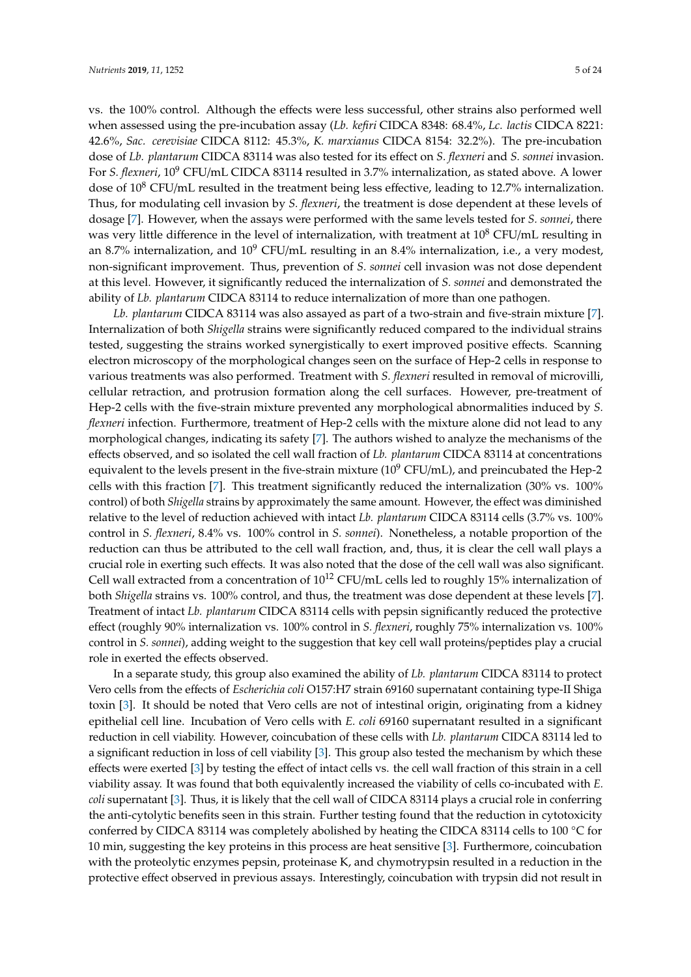vs. the 100% control. Although the effects were less successful, other strains also performed well when assessed using the pre-incubation assay (*Lb. kefiri* CIDCA 8348: 68.4%, *Lc. lactis* CIDCA 8221: 42.6%, *Sac. cerevisiae* CIDCA 8112: 45.3%, *K. marxianus* CIDCA 8154: 32.2%). The pre-incubation dose of *Lb. plantarum* CIDCA 83114 was also tested for its effect on *S. flexneri* and *S. sonnei* invasion. For *S. flexneri*, 10<sup>9</sup> CFU/mL CIDCA 83114 resulted in 3.7% internalization, as stated above. A lower dose of  $10^8$  CFU/mL resulted in the treatment being less effective, leading to 12.7% internalization. Thus, for modulating cell invasion by *S. flexneri*, the treatment is dose dependent at these levels of dosage [\[7\]](#page-19-15). However, when the assays were performed with the same levels tested for *S. sonnei*, there was very little difference in the level of internalization, with treatment at  $10^8$  CFU/mL resulting in an 8.7% internalization, and  $10^9$  CFU/mL resulting in an 8.4% internalization, i.e., a very modest, non-significant improvement. Thus, prevention of *S. sonnei* cell invasion was not dose dependent at this level. However, it significantly reduced the internalization of *S. sonnei* and demonstrated the ability of *Lb. plantarum* CIDCA 83114 to reduce internalization of more than one pathogen.

*Lb. plantarum* CIDCA 83114 was also assayed as part of a two-strain and five-strain mixture [\[7\]](#page-19-15). Internalization of both *Shigella* strains were significantly reduced compared to the individual strains tested, suggesting the strains worked synergistically to exert improved positive effects. Scanning electron microscopy of the morphological changes seen on the surface of Hep-2 cells in response to various treatments was also performed. Treatment with *S. flexneri* resulted in removal of microvilli, cellular retraction, and protrusion formation along the cell surfaces. However, pre-treatment of Hep-2 cells with the five-strain mixture prevented any morphological abnormalities induced by *S. flexneri* infection. Furthermore, treatment of Hep-2 cells with the mixture alone did not lead to any morphological changes, indicating its safety [\[7\]](#page-19-15). The authors wished to analyze the mechanisms of the effects observed, and so isolated the cell wall fraction of *Lb. plantarum* CIDCA 83114 at concentrations equivalent to the levels present in the five-strain mixture ( $10^9$  CFU/mL), and preincubated the Hep-2 cells with this fraction [\[7\]](#page-19-15). This treatment significantly reduced the internalization (30% vs. 100% control) of both *Shigella* strains by approximately the same amount. However, the effect was diminished relative to the level of reduction achieved with intact *Lb. plantarum* CIDCA 83114 cells (3.7% vs. 100% control in *S. flexneri*, 8.4% vs. 100% control in *S. sonnei*). Nonetheless, a notable proportion of the reduction can thus be attributed to the cell wall fraction, and, thus, it is clear the cell wall plays a crucial role in exerting such effects. It was also noted that the dose of the cell wall was also significant. Cell wall extracted from a concentration of  $10^{12}$  CFU/mL cells led to roughly 15% internalization of both *Shigella* strains vs. 100% control, and thus, the treatment was dose dependent at these levels [\[7\]](#page-19-15). Treatment of intact *Lb. plantarum* CIDCA 83114 cells with pepsin significantly reduced the protective effect (roughly 90% internalization vs. 100% control in *S. flexneri*, roughly 75% internalization vs. 100% control in *S. sonnei*), adding weight to the suggestion that key cell wall proteins/peptides play a crucial role in exerted the effects observed.

In a separate study, this group also examined the ability of *Lb. plantarum* CIDCA 83114 to protect Vero cells from the effects of *Escherichia coli* O157:H7 strain 69160 supernatant containing type-II Shiga toxin [\[3\]](#page-18-5). It should be noted that Vero cells are not of intestinal origin, originating from a kidney epithelial cell line. Incubation of Vero cells with *E. coli* 69160 supernatant resulted in a significant reduction in cell viability. However, coincubation of these cells with *Lb. plantarum* CIDCA 83114 led to a significant reduction in loss of cell viability [\[3\]](#page-18-5). This group also tested the mechanism by which these effects were exerted [\[3\]](#page-18-5) by testing the effect of intact cells vs. the cell wall fraction of this strain in a cell viability assay. It was found that both equivalently increased the viability of cells co-incubated with *E. coli* supernatant [\[3\]](#page-18-5). Thus, it is likely that the cell wall of CIDCA 83114 plays a crucial role in conferring the anti-cytolytic benefits seen in this strain. Further testing found that the reduction in cytotoxicity conferred by CIDCA 83114 was completely abolished by heating the CIDCA 83114 cells to 100 ◦C for 10 min, suggesting the key proteins in this process are heat sensitive [\[3\]](#page-18-5). Furthermore, coincubation with the proteolytic enzymes pepsin, proteinase K, and chymotrypsin resulted in a reduction in the protective effect observed in previous assays. Interestingly, coincubation with trypsin did not result in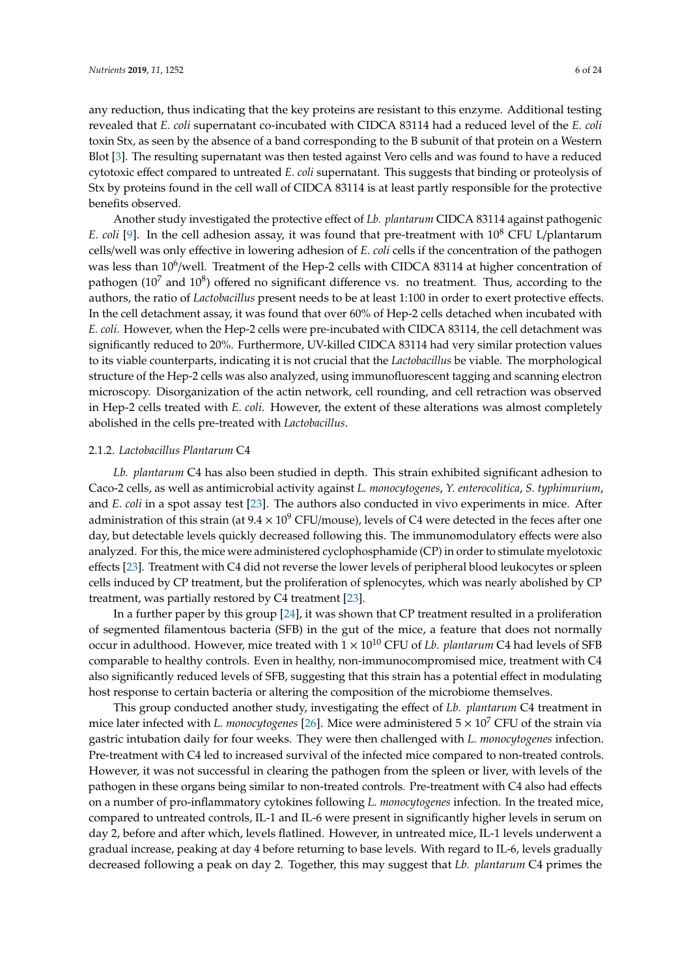any reduction, thus indicating that the key proteins are resistant to this enzyme. Additional testing revealed that *E. coli* supernatant co-incubated with CIDCA 83114 had a reduced level of the *E. coli* toxin Stx, as seen by the absence of a band corresponding to the B subunit of that protein on a Western Blot [\[3\]](#page-18-5). The resulting supernatant was then tested against Vero cells and was found to have a reduced cytotoxic effect compared to untreated *E. coli* supernatant. This suggests that binding or proteolysis of Stx by proteins found in the cell wall of CIDCA 83114 is at least partly responsible for the protective benefits observed.

Another study investigated the protective effect of *Lb. plantarum* CIDCA 83114 against pathogenic *E. coli* [\[9\]](#page-19-16). In the cell adhesion assay, it was found that pre-treatment with 10<sup>8</sup> CFU L/plantarum cells/well was only effective in lowering adhesion of *E. coli* cells if the concentration of the pathogen was less than 10<sup>6</sup>/well. Treatment of the Hep-2 cells with CIDCA 83114 at higher concentration of pathogen (10<sup>7</sup> and 10<sup>8</sup>) offered no significant difference vs. no treatment. Thus, according to the authors, the ratio of *Lactobacillus* present needs to be at least 1:100 in order to exert protective effects. In the cell detachment assay, it was found that over 60% of Hep-2 cells detached when incubated with *E. coli*. However, when the Hep-2 cells were pre-incubated with CIDCA 83114, the cell detachment was significantly reduced to 20%. Furthermore, UV-killed CIDCA 83114 had very similar protection values to its viable counterparts, indicating it is not crucial that the *Lactobacillus* be viable. The morphological structure of the Hep-2 cells was also analyzed, using immunofluorescent tagging and scanning electron microscopy. Disorganization of the actin network, cell rounding, and cell retraction was observed in Hep-2 cells treated with *E. coli*. However, the extent of these alterations was almost completely abolished in the cells pre-treated with *Lactobacillus*.

# 2.1.2. *Lactobacillus Plantarum* C4

*Lb. plantarum* C4 has also been studied in depth. This strain exhibited significant adhesion to Caco-2 cells, as well as antimicrobial activity against *L. monocytogenes*, *Y. enterocolitica*, *S. typhimurium*, and *E. coli* in a spot assay test [\[23\]](#page-19-17). The authors also conducted in vivo experiments in mice. After administration of this strain (at  $9.4 \times 10^9$  CFU/mouse), levels of C4 were detected in the feces after one day, but detectable levels quickly decreased following this. The immunomodulatory effects were also analyzed. For this, the mice were administered cyclophosphamide (CP) in order to stimulate myelotoxic effects [\[23\]](#page-19-17). Treatment with C4 did not reverse the lower levels of peripheral blood leukocytes or spleen cells induced by CP treatment, but the proliferation of splenocytes, which was nearly abolished by CP treatment, was partially restored by C4 treatment [\[23\]](#page-19-17).

In a further paper by this group [\[24\]](#page-20-8), it was shown that CP treatment resulted in a proliferation of segmented filamentous bacteria (SFB) in the gut of the mice, a feature that does not normally occur in adulthood. However, mice treated with 1 × 10<sup>10</sup> CFU of *Lb. plantarum* C4 had levels of SFB comparable to healthy controls. Even in healthy, non-immunocompromised mice, treatment with C4 also significantly reduced levels of SFB, suggesting that this strain has a potential effect in modulating host response to certain bacteria or altering the composition of the microbiome themselves.

This group conducted another study, investigating the effect of *Lb. plantarum* C4 treatment in mice later infected with *L. monocytogenes* [\[26\]](#page-20-9). Mice were administered 5 × 10<sup>7</sup> CFU of the strain via gastric intubation daily for four weeks. They were then challenged with *L. monocytogenes* infection. Pre-treatment with C4 led to increased survival of the infected mice compared to non-treated controls. However, it was not successful in clearing the pathogen from the spleen or liver, with levels of the pathogen in these organs being similar to non-treated controls. Pre-treatment with C4 also had effects on a number of pro-inflammatory cytokines following *L. monocytogenes* infection. In the treated mice, compared to untreated controls, IL-1 and IL-6 were present in significantly higher levels in serum on day 2, before and after which, levels flatlined. However, in untreated mice, IL-1 levels underwent a gradual increase, peaking at day 4 before returning to base levels. With regard to IL-6, levels gradually decreased following a peak on day 2. Together, this may suggest that *Lb. plantarum* C4 primes the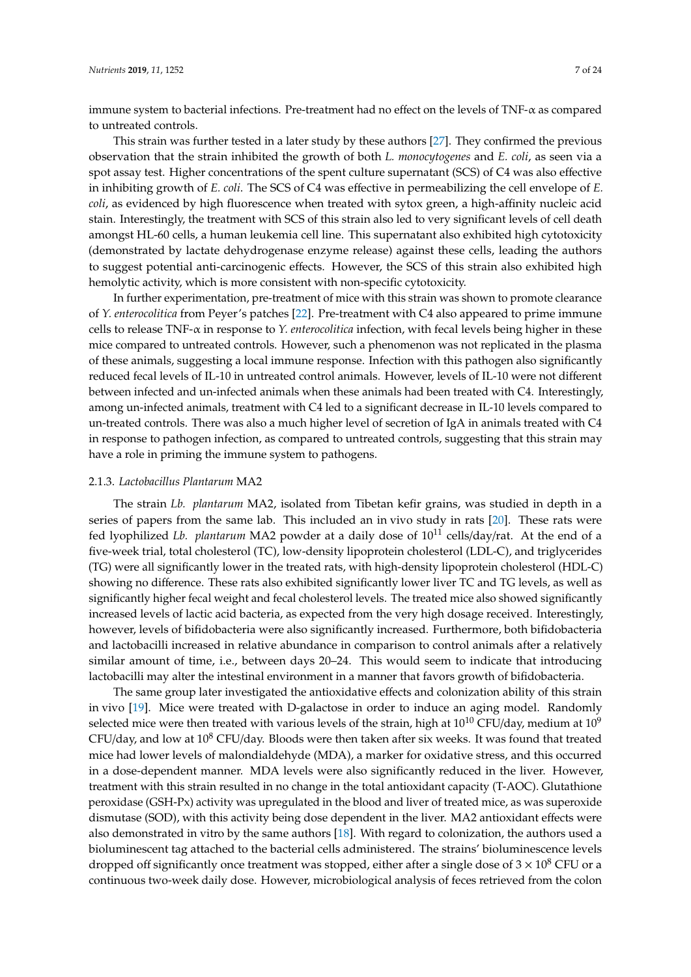immune system to bacterial infections. Pre-treatment had no effect on the levels of TNF- $\alpha$  as compared to untreated controls.

This strain was further tested in a later study by these authors [\[27\]](#page-20-10). They confirmed the previous observation that the strain inhibited the growth of both *L. monocytogenes* and *E. coli*, as seen via a spot assay test. Higher concentrations of the spent culture supernatant (SCS) of C4 was also effective in inhibiting growth of *E. coli*. The SCS of C4 was effective in permeabilizing the cell envelope of *E. coli*, as evidenced by high fluorescence when treated with sytox green, a high-affinity nucleic acid stain. Interestingly, the treatment with SCS of this strain also led to very significant levels of cell death amongst HL-60 cells, a human leukemia cell line. This supernatant also exhibited high cytotoxicity (demonstrated by lactate dehydrogenase enzyme release) against these cells, leading the authors to suggest potential anti-carcinogenic effects. However, the SCS of this strain also exhibited high hemolytic activity, which is more consistent with non-specific cytotoxicity.

In further experimentation, pre-treatment of mice with this strain was shown to promote clearance of *Y. enterocolitica* from Peyer's patches [\[22\]](#page-19-18). Pre-treatment with C4 also appeared to prime immune cells to release TNF-α in response to *Y. enterocolitica* infection, with fecal levels being higher in these mice compared to untreated controls. However, such a phenomenon was not replicated in the plasma of these animals, suggesting a local immune response. Infection with this pathogen also significantly reduced fecal levels of IL-10 in untreated control animals. However, levels of IL-10 were not different between infected and un-infected animals when these animals had been treated with C4. Interestingly, among un-infected animals, treatment with C4 led to a significant decrease in IL-10 levels compared to un-treated controls. There was also a much higher level of secretion of IgA in animals treated with C4 in response to pathogen infection, as compared to untreated controls, suggesting that this strain may have a role in priming the immune system to pathogens.

#### 2.1.3. *Lactobacillus Plantarum* MA2

The strain *Lb. plantarum* MA2, isolated from Tibetan kefir grains, was studied in depth in a series of papers from the same lab. This included an in vivo study in rats [\[20\]](#page-19-19). These rats were fed lyophilized *Lb. plantarum* MA2 powder at a daily dose of 10<sup>11</sup> cells/day/rat. At the end of a five-week trial, total cholesterol (TC), low-density lipoprotein cholesterol (LDL-C), and triglycerides (TG) were all significantly lower in the treated rats, with high-density lipoprotein cholesterol (HDL-C) showing no difference. These rats also exhibited significantly lower liver TC and TG levels, as well as significantly higher fecal weight and fecal cholesterol levels. The treated mice also showed significantly increased levels of lactic acid bacteria, as expected from the very high dosage received. Interestingly, however, levels of bifidobacteria were also significantly increased. Furthermore, both bifidobacteria and lactobacilli increased in relative abundance in comparison to control animals after a relatively similar amount of time, i.e., between days 20–24. This would seem to indicate that introducing lactobacilli may alter the intestinal environment in a manner that favors growth of bifidobacteria.

The same group later investigated the antioxidative effects and colonization ability of this strain in vivo [\[19\]](#page-19-20). Mice were treated with D-galactose in order to induce an aging model. Randomly selected mice were then treated with various levels of the strain, high at  $10^{10}$  CFU/day, medium at  $10^9$  $CFU/day$ , and low at  $10<sup>8</sup> CFU/day$ . Bloods were then taken after six weeks. It was found that treated mice had lower levels of malondialdehyde (MDA), a marker for oxidative stress, and this occurred in a dose-dependent manner. MDA levels were also significantly reduced in the liver. However, treatment with this strain resulted in no change in the total antioxidant capacity (T-AOC). Glutathione peroxidase (GSH-Px) activity was upregulated in the blood and liver of treated mice, as was superoxide dismutase (SOD), with this activity being dose dependent in the liver. MA2 antioxidant effects were also demonstrated in vitro by the same authors [\[18\]](#page-19-21). With regard to colonization, the authors used a bioluminescent tag attached to the bacterial cells administered. The strains' bioluminescence levels dropped off significantly once treatment was stopped, either after a single dose of  $3 \times 10^8$  CFU or a continuous two-week daily dose. However, microbiological analysis of feces retrieved from the colon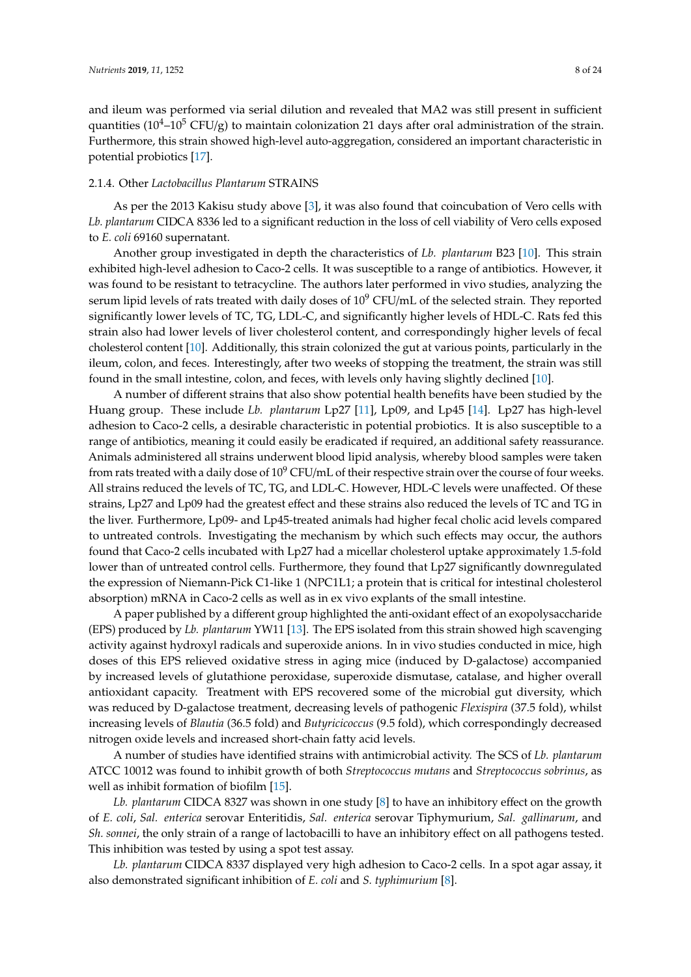and ileum was performed via serial dilution and revealed that MA2 was still present in sufficient quantities ( $10^4$ – $10^5$  CFU/g) to maintain colonization 21 days after oral administration of the strain. Furthermore, this strain showed high-level auto-aggregation, considered an important characteristic in potential probiotics [\[17\]](#page-19-22).

## 2.1.4. Other *Lactobacillus Plantarum* STRAINS

As per the 2013 Kakisu study above [\[3\]](#page-18-5), it was also found that coincubation of Vero cells with *Lb. plantarum* CIDCA 8336 led to a significant reduction in the loss of cell viability of Vero cells exposed to *E. coli* 69160 supernatant.

Another group investigated in depth the characteristics of *Lb. plantarum* B23 [\[10\]](#page-19-23). This strain exhibited high-level adhesion to Caco-2 cells. It was susceptible to a range of antibiotics. However, it was found to be resistant to tetracycline. The authors later performed in vivo studies, analyzing the serum lipid levels of rats treated with daily doses of 10<sup>9</sup> CFU/mL of the selected strain. They reported significantly lower levels of TC, TG, LDL-C, and significantly higher levels of HDL-C. Rats fed this strain also had lower levels of liver cholesterol content, and correspondingly higher levels of fecal cholesterol content [\[10\]](#page-19-23). Additionally, this strain colonized the gut at various points, particularly in the ileum, colon, and feces. Interestingly, after two weeks of stopping the treatment, the strain was still found in the small intestine, colon, and feces, with levels only having slightly declined [\[10\]](#page-19-23).

A number of different strains that also show potential health benefits have been studied by the Huang group. These include *Lb. plantarum* Lp27 [\[11\]](#page-19-24), Lp09, and Lp45 [\[14\]](#page-19-25). Lp27 has high-level adhesion to Caco-2 cells, a desirable characteristic in potential probiotics. It is also susceptible to a range of antibiotics, meaning it could easily be eradicated if required, an additional safety reassurance. Animals administered all strains underwent blood lipid analysis, whereby blood samples were taken from rats treated with a daily dose of  $10^9$  CFU/mL of their respective strain over the course of four weeks. All strains reduced the levels of TC, TG, and LDL-C. However, HDL-C levels were unaffected. Of these strains, Lp27 and Lp09 had the greatest effect and these strains also reduced the levels of TC and TG in the liver. Furthermore, Lp09- and Lp45-treated animals had higher fecal cholic acid levels compared to untreated controls. Investigating the mechanism by which such effects may occur, the authors found that Caco-2 cells incubated with Lp27 had a micellar cholesterol uptake approximately 1.5-fold lower than of untreated control cells. Furthermore, they found that Lp27 significantly downregulated the expression of Niemann-Pick C1-like 1 (NPC1L1; a protein that is critical for intestinal cholesterol absorption) mRNA in Caco-2 cells as well as in ex vivo explants of the small intestine.

A paper published by a different group highlighted the anti-oxidant effect of an exopolysaccharide (EPS) produced by *Lb. plantarum* YW11 [\[13\]](#page-19-26). The EPS isolated from this strain showed high scavenging activity against hydroxyl radicals and superoxide anions. In in vivo studies conducted in mice, high doses of this EPS relieved oxidative stress in aging mice (induced by D-galactose) accompanied by increased levels of glutathione peroxidase, superoxide dismutase, catalase, and higher overall antioxidant capacity. Treatment with EPS recovered some of the microbial gut diversity, which was reduced by D-galactose treatment, decreasing levels of pathogenic *Flexispira* (37.5 fold), whilst increasing levels of *Blautia* (36.5 fold) and *Butyricicoccus* (9.5 fold), which correspondingly decreased nitrogen oxide levels and increased short-chain fatty acid levels.

A number of studies have identified strains with antimicrobial activity. The SCS of *Lb. plantarum* ATCC 10012 was found to inhibit growth of both *Streptococcus mutans* and *Streptococcus sobrinus*, as well as inhibit formation of biofilm [\[15\]](#page-19-27).

*Lb. plantarum* CIDCA 8327 was shown in one study [\[8\]](#page-19-28) to have an inhibitory effect on the growth of *E. coli*, *Sal. enterica* serovar Enteritidis, *Sal. enterica* serovar Tiphymurium, *Sal. gallinarum*, and *Sh. sonnei*, the only strain of a range of lactobacilli to have an inhibitory effect on all pathogens tested. This inhibition was tested by using a spot test assay.

*Lb. plantarum* CIDCA 8337 displayed very high adhesion to Caco-2 cells. In a spot agar assay, it also demonstrated significant inhibition of *E. coli* and *S. typhimurium* [\[8\]](#page-19-28).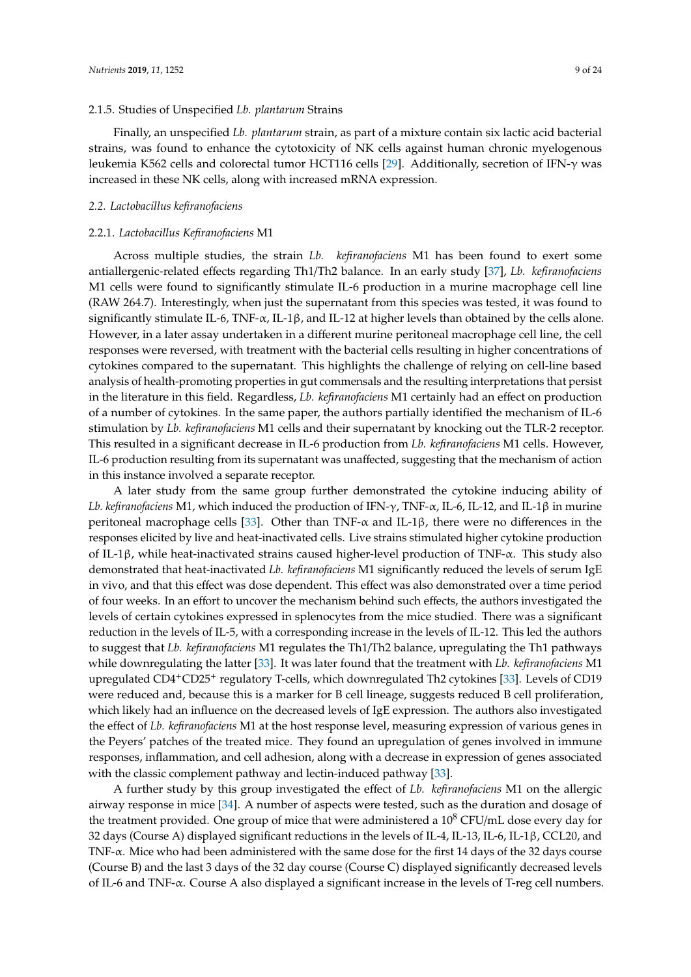#### 2.1.5. Studies of Unspecified *Lb. plantarum* Strains

Finally, an unspecified *Lb. plantarum* strain, as part of a mixture contain six lactic acid bacterial strains, was found to enhance the cytotoxicity of NK cells against human chronic myelogenous leukemia K562 cells and colorectal tumor HCT116 cells [\[29\]](#page-20-11). Additionally, secretion of IFN-γ was increased in these NK cells, along with increased mRNA expression.

#### *2.2. Lactobacillus kefiranofaciens*

## 2.2.1. *Lactobacillus Kefiranofaciens* M1

Across multiple studies, the strain *Lb. kefiranofaciens* M1 has been found to exert some antiallergenic-related effects regarding Th1/Th2 balance. In an early study [\[37\]](#page-20-12), *Lb. kefiranofaciens* M1 cells were found to significantly stimulate IL-6 production in a murine macrophage cell line (RAW 264.7). Interestingly, when just the supernatant from this species was tested, it was found to significantly stimulate IL-6, TNF- $\alpha$ , IL-1β, and IL-12 at higher levels than obtained by the cells alone. However, in a later assay undertaken in a different murine peritoneal macrophage cell line, the cell responses were reversed, with treatment with the bacterial cells resulting in higher concentrations of cytokines compared to the supernatant. This highlights the challenge of relying on cell-line based analysis of health-promoting properties in gut commensals and the resulting interpretations that persist in the literature in this field. Regardless, *Lb. kefiranofaciens* M1 certainly had an effect on production of a number of cytokines. In the same paper, the authors partially identified the mechanism of IL-6 stimulation by *Lb. kefiranofaciens* M1 cells and their supernatant by knocking out the TLR-2 receptor. This resulted in a significant decrease in IL-6 production from *Lb. kefiranofaciens* M1 cells. However, IL-6 production resulting from its supernatant was unaffected, suggesting that the mechanism of action in this instance involved a separate receptor.

A later study from the same group further demonstrated the cytokine inducing ability of *Lb. kefiranofaciens* M1, which induced the production of IFN-γ, TNF-α, IL-6, IL-12, and IL-1β in murine peritoneal macrophage cells [\[33\]](#page-20-13). Other than TNF- $\alpha$  and IL-1 $\beta$ , there were no differences in the responses elicited by live and heat-inactivated cells. Live strains stimulated higher cytokine production of IL-1β, while heat-inactivated strains caused higher-level production of TNF-α. This study also demonstrated that heat-inactivated *Lb. kefiranofaciens* M1 significantly reduced the levels of serum IgE in vivo, and that this effect was dose dependent. This effect was also demonstrated over a time period of four weeks. In an effort to uncover the mechanism behind such effects, the authors investigated the levels of certain cytokines expressed in splenocytes from the mice studied. There was a significant reduction in the levels of IL-5, with a corresponding increase in the levels of IL-12. This led the authors to suggest that *Lb. kefiranofaciens* M1 regulates the Th1/Th2 balance, upregulating the Th1 pathways while downregulating the latter [\[33\]](#page-20-13). It was later found that the treatment with *Lb. kefiranofaciens* M1 upregulated CD4+CD25<sup>+</sup> regulatory T-cells, which downregulated Th2 cytokines [\[33\]](#page-20-13). Levels of CD19 were reduced and, because this is a marker for B cell lineage, suggests reduced B cell proliferation, which likely had an influence on the decreased levels of IgE expression. The authors also investigated the effect of *Lb. kefiranofaciens* M1 at the host response level, measuring expression of various genes in the Peyers' patches of the treated mice. They found an upregulation of genes involved in immune responses, inflammation, and cell adhesion, along with a decrease in expression of genes associated with the classic complement pathway and lectin-induced pathway [\[33\]](#page-20-13).

A further study by this group investigated the effect of *Lb. kefiranofaciens* M1 on the allergic airway response in mice [\[34\]](#page-20-14). A number of aspects were tested, such as the duration and dosage of the treatment provided. One group of mice that were administered a  $10^8$  CFU/mL dose every day for 32 days (Course A) displayed significant reductions in the levels of IL-4, IL-13, IL-6, IL-1β, CCL20, and TNF-α. Mice who had been administered with the same dose for the first 14 days of the 32 days course (Course B) and the last 3 days of the 32 day course (Course C) displayed significantly decreased levels of IL-6 and TNF-α. Course A also displayed a significant increase in the levels of T-reg cell numbers.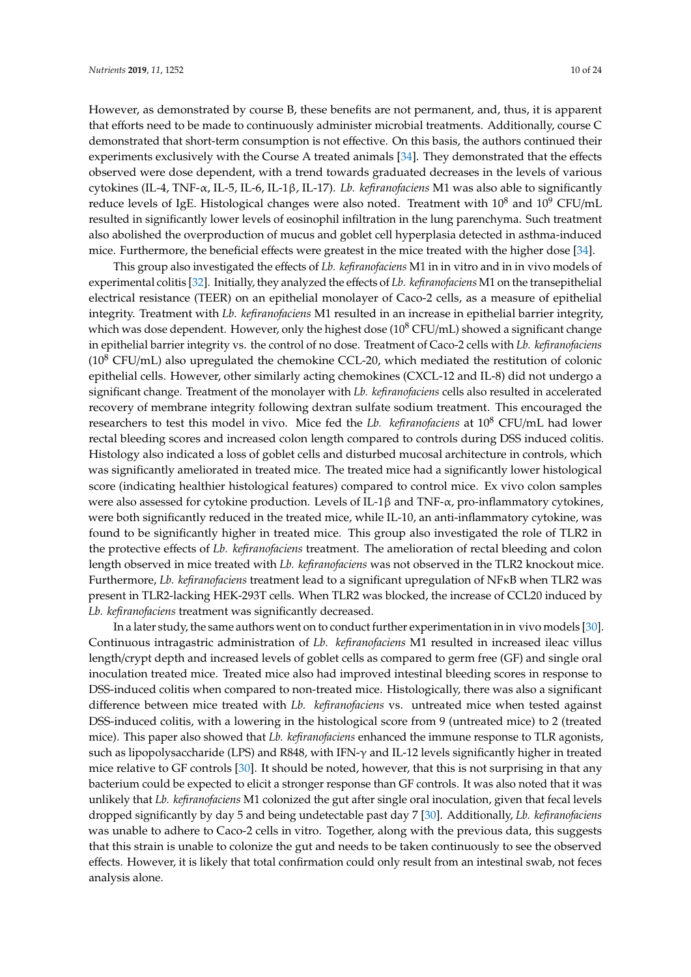However, as demonstrated by course B, these benefits are not permanent, and, thus, it is apparent that efforts need to be made to continuously administer microbial treatments. Additionally, course C demonstrated that short-term consumption is not effective. On this basis, the authors continued their experiments exclusively with the Course A treated animals [\[34\]](#page-20-14). They demonstrated that the effects observed were dose dependent, with a trend towards graduated decreases in the levels of various cytokines (IL-4, TNF-α, IL-5, IL-6, IL-1β, IL-17). *Lb. kefiranofaciens* M1 was also able to significantly reduce levels of IgE. Histological changes were also noted. Treatment with  $10^8$  and  $10^9$  CFU/mL resulted in significantly lower levels of eosinophil infiltration in the lung parenchyma. Such treatment also abolished the overproduction of mucus and goblet cell hyperplasia detected in asthma-induced mice. Furthermore, the beneficial effects were greatest in the mice treated with the higher dose [\[34\]](#page-20-14).

This group also investigated the effects of *Lb. kefiranofaciens* M1 in in vitro and in in vivo models of experimental colitis [\[32\]](#page-20-15). Initially, they analyzed the effects of *Lb. kefiranofaciens* M1 on the transepithelial electrical resistance (TEER) on an epithelial monolayer of Caco-2 cells, as a measure of epithelial integrity. Treatment with *Lb. kefiranofaciens* M1 resulted in an increase in epithelial barrier integrity, which was dose dependent. However, only the highest dose  $(10^8 \text{ CFU/mL})$  showed a significant change in epithelial barrier integrity vs. the control of no dose. Treatment of Caco-2 cells with *Lb. kefiranofaciens*  $(10^8 \text{ CFU/mL})$  also upregulated the chemokine CCL-20, which mediated the restitution of colonic epithelial cells. However, other similarly acting chemokines (CXCL-12 and IL-8) did not undergo a significant change. Treatment of the monolayer with *Lb. kefiranofaciens* cells also resulted in accelerated recovery of membrane integrity following dextran sulfate sodium treatment. This encouraged the researchers to test this model in vivo. Mice fed the *Lb. kefiranofaciens* at 10<sup>8</sup> CFU/mL had lower rectal bleeding scores and increased colon length compared to controls during DSS induced colitis. Histology also indicated a loss of goblet cells and disturbed mucosal architecture in controls, which was significantly ameliorated in treated mice. The treated mice had a significantly lower histological score (indicating healthier histological features) compared to control mice. Ex vivo colon samples were also assessed for cytokine production. Levels of IL-1β and TNF-α, pro-inflammatory cytokines, were both significantly reduced in the treated mice, while IL-10, an anti-inflammatory cytokine, was found to be significantly higher in treated mice. This group also investigated the role of TLR2 in the protective effects of *Lb. kefiranofaciens* treatment. The amelioration of rectal bleeding and colon length observed in mice treated with *Lb. kefiranofaciens* was not observed in the TLR2 knockout mice. Furthermore, *Lb. kefiranofaciens* treatment lead to a significant upregulation of NFκB when TLR2 was present in TLR2-lacking HEK-293T cells. When TLR2 was blocked, the increase of CCL20 induced by *Lb. kefiranofaciens* treatment was significantly decreased.

In a later study, the same authors went on to conduct further experimentation in in vivo models [\[30\]](#page-20-3). Continuous intragastric administration of *Lb. kefiranofaciens* M1 resulted in increased ileac villus length/crypt depth and increased levels of goblet cells as compared to germ free (GF) and single oral inoculation treated mice. Treated mice also had improved intestinal bleeding scores in response to DSS-induced colitis when compared to non-treated mice. Histologically, there was also a significant difference between mice treated with *Lb. kefiranofaciens* vs. untreated mice when tested against DSS-induced colitis, with a lowering in the histological score from 9 (untreated mice) to 2 (treated mice). This paper also showed that *Lb. kefiranofaciens* enhanced the immune response to TLR agonists, such as lipopolysaccharide (LPS) and R848, with IFN-γ and IL-12 levels significantly higher in treated mice relative to GF controls [\[30\]](#page-20-3). It should be noted, however, that this is not surprising in that any bacterium could be expected to elicit a stronger response than GF controls. It was also noted that it was unlikely that *Lb. kefiranofaciens* M1 colonized the gut after single oral inoculation, given that fecal levels dropped significantly by day 5 and being undetectable past day 7 [\[30\]](#page-20-3). Additionally, *Lb. kefiranofaciens* was unable to adhere to Caco-2 cells in vitro. Together, along with the previous data, this suggests that this strain is unable to colonize the gut and needs to be taken continuously to see the observed effects. However, it is likely that total confirmation could only result from an intestinal swab, not feces analysis alone.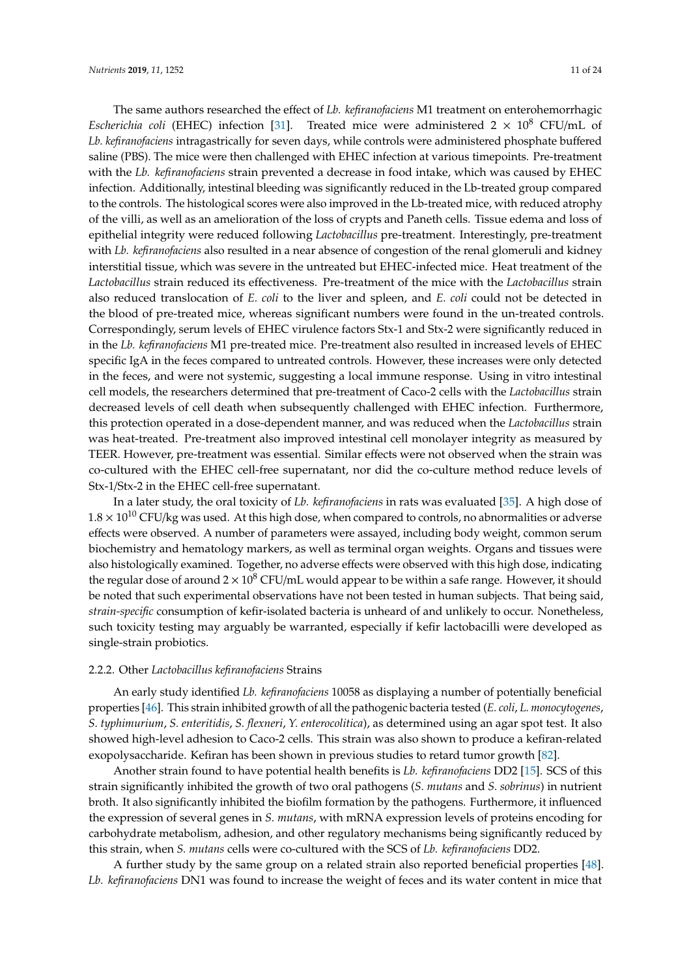The same authors researched the effect of *Lb. kefiranofaciens* M1 treatment on enterohemorrhagic *Escherichia coli* (EHEC) infection [\[31\]](#page-20-4). Treated mice were administered  $2 \times 10^8$  CFU/mL of *Lb. kefiranofaciens* intragastrically for seven days, while controls were administered phosphate buffered saline (PBS). The mice were then challenged with EHEC infection at various timepoints. Pre-treatment with the *Lb. kefiranofaciens* strain prevented a decrease in food intake, which was caused by EHEC infection. Additionally, intestinal bleeding was significantly reduced in the Lb-treated group compared to the controls. The histological scores were also improved in the Lb-treated mice, with reduced atrophy of the villi, as well as an amelioration of the loss of crypts and Paneth cells. Tissue edema and loss of epithelial integrity were reduced following *Lactobacillus* pre-treatment. Interestingly, pre-treatment with *Lb. kefiranofaciens* also resulted in a near absence of congestion of the renal glomeruli and kidney interstitial tissue, which was severe in the untreated but EHEC-infected mice. Heat treatment of the *Lactobacillus* strain reduced its effectiveness. Pre-treatment of the mice with the *Lactobacillus* strain also reduced translocation of *E. coli* to the liver and spleen, and *E. coli* could not be detected in the blood of pre-treated mice, whereas significant numbers were found in the un-treated controls. Correspondingly, serum levels of EHEC virulence factors Stx-1 and Stx-2 were significantly reduced in in the *Lb. kefiranofaciens* M1 pre-treated mice. Pre-treatment also resulted in increased levels of EHEC specific IgA in the feces compared to untreated controls. However, these increases were only detected in the feces, and were not systemic, suggesting a local immune response. Using in vitro intestinal cell models, the researchers determined that pre-treatment of Caco-2 cells with the *Lactobacillus* strain decreased levels of cell death when subsequently challenged with EHEC infection. Furthermore, this protection operated in a dose-dependent manner, and was reduced when the *Lactobacillus* strain was heat-treated. Pre-treatment also improved intestinal cell monolayer integrity as measured by TEER. However, pre-treatment was essential. Similar effects were not observed when the strain was co-cultured with the EHEC cell-free supernatant, nor did the co-culture method reduce levels of Stx-1/Stx-2 in the EHEC cell-free supernatant.

In a later study, the oral toxicity of *Lb. kefiranofaciens* in rats was evaluated [\[35\]](#page-20-16). A high dose of  $1.8 \times 10^{10}$  CFU/kg was used. At this high dose, when compared to controls, no abnormalities or adverse effects were observed. A number of parameters were assayed, including body weight, common serum biochemistry and hematology markers, as well as terminal organ weights. Organs and tissues were also histologically examined. Together, no adverse effects were observed with this high dose, indicating the regular dose of around  $2 \times 10^8$  CFU/mL would appear to be within a safe range. However, it should be noted that such experimental observations have not been tested in human subjects. That being said, *strain-specific* consumption of kefir-isolated bacteria is unheard of and unlikely to occur. Nonetheless, such toxicity testing may arguably be warranted, especially if kefir lactobacilli were developed as single-strain probiotics.

## 2.2.2. Other *Lactobacillus kefiranofaciens* Strains

An early study identified *Lb. kefiranofaciens* 10058 as displaying a number of potentially beneficial properties [\[46\]](#page-21-8). This strain inhibited growth of all the pathogenic bacteria tested (*E. coli*, *L. monocytogenes*, *S. typhimurium*, *S. enteritidis*, *S. flexneri*, *Y. enterocolitica*), as determined using an agar spot test. It also showed high-level adhesion to Caco-2 cells. This strain was also shown to produce a kefiran-related exopolysaccharide. Kefiran has been shown in previous studies to retard tumor growth [\[82\]](#page-22-19).

Another strain found to have potential health benefits is *Lb. kefiranofaciens* DD2 [\[15\]](#page-19-27). SCS of this strain significantly inhibited the growth of two oral pathogens (*S. mutans* and *S. sobrinus*) in nutrient broth. It also significantly inhibited the biofilm formation by the pathogens. Furthermore, it influenced the expression of several genes in *S. mutans*, with mRNA expression levels of proteins encoding for carbohydrate metabolism, adhesion, and other regulatory mechanisms being significantly reduced by this strain, when *S. mutans* cells were co-cultured with the SCS of *Lb. kefiranofaciens* DD2.

A further study by the same group on a related strain also reported beneficial properties [\[48\]](#page-21-15). *Lb. kefiranofaciens* DN1 was found to increase the weight of feces and its water content in mice that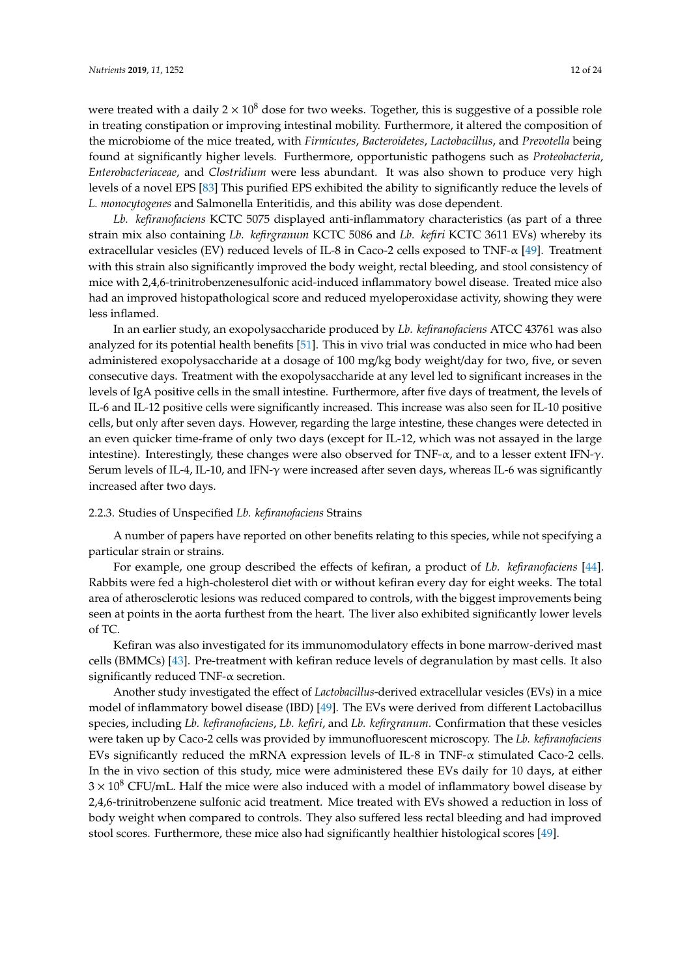were treated with a daily  $2 \times 10^8$  dose for two weeks. Together, this is suggestive of a possible role in treating constipation or improving intestinal mobility. Furthermore, it altered the composition of the microbiome of the mice treated, with *Firmicutes*, *Bacteroidetes*, *Lactobacillus*, and *Prevotella* being found at significantly higher levels. Furthermore, opportunistic pathogens such as *Proteobacteria*, *Enterobacteriaceae*, and *Clostridium* were less abundant. It was also shown to produce very high levels of a novel EPS [\[83\]](#page-23-0) This purified EPS exhibited the ability to significantly reduce the levels of *L. monocytogenes* and Salmonella Enteritidis, and this ability was dose dependent.

*Lb. kefiranofaciens* KCTC 5075 displayed anti-inflammatory characteristics (as part of a three strain mix also containing *Lb. kefirgranum* KCTC 5086 and *Lb. kefiri* KCTC 3611 EVs) whereby its extracellular vesicles (EV) reduced levels of IL-8 in Caco-2 cells exposed to TNF-α [\[49\]](#page-21-16). Treatment with this strain also significantly improved the body weight, rectal bleeding, and stool consistency of mice with 2,4,6-trinitrobenzenesulfonic acid-induced inflammatory bowel disease. Treated mice also had an improved histopathological score and reduced myeloperoxidase activity, showing they were less inflamed.

In an earlier study, an exopolysaccharide produced by *Lb. kefiranofaciens* ATCC 43761 was also analyzed for its potential health benefits [\[51\]](#page-21-17). This in vivo trial was conducted in mice who had been administered exopolysaccharide at a dosage of 100 mg/kg body weight/day for two, five, or seven consecutive days. Treatment with the exopolysaccharide at any level led to significant increases in the levels of IgA positive cells in the small intestine. Furthermore, after five days of treatment, the levels of IL-6 and IL-12 positive cells were significantly increased. This increase was also seen for IL-10 positive cells, but only after seven days. However, regarding the large intestine, these changes were detected in an even quicker time-frame of only two days (except for IL-12, which was not assayed in the large intestine). Interestingly, these changes were also observed for TNF- $\alpha$ , and to a lesser extent IFN- $\gamma$ . Serum levels of IL-4, IL-10, and IFN-γ were increased after seven days, whereas IL-6 was significantly increased after two days.

## 2.2.3. Studies of Unspecified *Lb. kefiranofaciens* Strains

A number of papers have reported on other benefits relating to this species, while not specifying a particular strain or strains.

For example, one group described the effects of kefiran, a product of *Lb. kefiranofaciens* [\[44\]](#page-21-18). Rabbits were fed a high-cholesterol diet with or without kefiran every day for eight weeks. The total area of atherosclerotic lesions was reduced compared to controls, with the biggest improvements being seen at points in the aorta furthest from the heart. The liver also exhibited significantly lower levels of TC.

Kefiran was also investigated for its immunomodulatory effects in bone marrow-derived mast cells (BMMCs) [\[43\]](#page-21-19). Pre-treatment with kefiran reduce levels of degranulation by mast cells. It also significantly reduced TNF-α secretion.

Another study investigated the effect of *Lactobacillus*-derived extracellular vesicles (EVs) in a mice model of inflammatory bowel disease (IBD) [\[49\]](#page-21-16). The EVs were derived from different Lactobacillus species, including *Lb. kefiranofaciens*, *Lb. kefiri*, and *Lb. kefirgranum*. Confirmation that these vesicles were taken up by Caco-2 cells was provided by immunofluorescent microscopy. The *Lb. kefiranofaciens* EVs significantly reduced the mRNA expression levels of IL-8 in TNF-α stimulated Caco-2 cells. In the in vivo section of this study, mice were administered these EVs daily for 10 days, at either  $3 \times 10^8$  CFU/mL. Half the mice were also induced with a model of inflammatory bowel disease by 2,4,6-trinitrobenzene sulfonic acid treatment. Mice treated with EVs showed a reduction in loss of body weight when compared to controls. They also suffered less rectal bleeding and had improved stool scores. Furthermore, these mice also had significantly healthier histological scores [\[49\]](#page-21-16).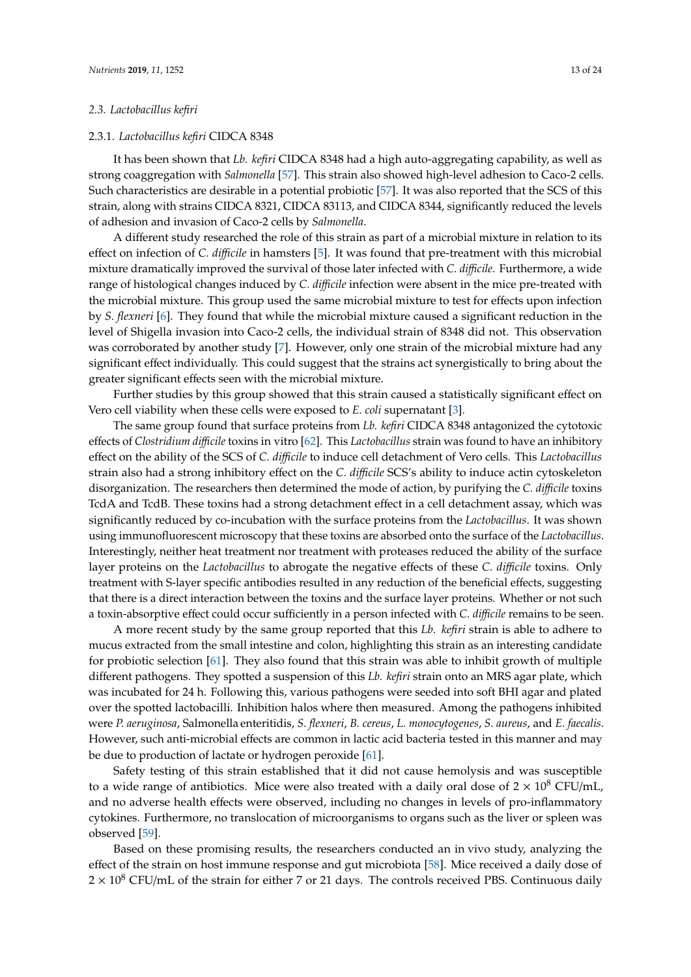#### *2.3. Lactobacillus kefiri*

# 2.3.1. *Lactobacillus kefiri* CIDCA 8348

It has been shown that *Lb. kefiri* CIDCA 8348 had a high auto-aggregating capability, as well as strong coaggregation with *Salmonella* [\[57\]](#page-21-20). This strain also showed high-level adhesion to Caco-2 cells. Such characteristics are desirable in a potential probiotic [\[57\]](#page-21-20). It was also reported that the SCS of this strain, along with strains CIDCA 8321, CIDCA 83113, and CIDCA 8344, significantly reduced the levels of adhesion and invasion of Caco-2 cells by *Salmonella*.

A different study researched the role of this strain as part of a microbial mixture in relation to its effect on infection of *C. di*ffi*cile* in hamsters [\[5\]](#page-18-4). It was found that pre-treatment with this microbial mixture dramatically improved the survival of those later infected with *C. di*ffi*cile*. Furthermore, a wide range of histological changes induced by *C. di*ffi*cile* infection were absent in the mice pre-treated with the microbial mixture. This group used the same microbial mixture to test for effects upon infection by *S. flexneri* [\[6\]](#page-19-14). They found that while the microbial mixture caused a significant reduction in the level of Shigella invasion into Caco-2 cells, the individual strain of 8348 did not. This observation was corroborated by another study [\[7\]](#page-19-15). However, only one strain of the microbial mixture had any significant effect individually. This could suggest that the strains act synergistically to bring about the greater significant effects seen with the microbial mixture.

Further studies by this group showed that this strain caused a statistically significant effect on Vero cell viability when these cells were exposed to *E. coli* supernatant [\[3\]](#page-18-5).

The same group found that surface proteins from *Lb. kefiri* CIDCA 8348 antagonized the cytotoxic effects of *Clostridium di*ffi*cile* toxins in vitro [\[62\]](#page-22-20). This *Lactobacillus* strain was found to have an inhibitory effect on the ability of the SCS of *C. di*ffi*cile* to induce cell detachment of Vero cells. This *Lactobacillus* strain also had a strong inhibitory effect on the *C. di*ffi*cile* SCS's ability to induce actin cytoskeleton disorganization. The researchers then determined the mode of action, by purifying the *C. di*ffi*cile* toxins TcdA and TcdB. These toxins had a strong detachment effect in a cell detachment assay, which was significantly reduced by co-incubation with the surface proteins from the *Lactobacillus*. It was shown using immunofluorescent microscopy that these toxins are absorbed onto the surface of the *Lactobacillus*. Interestingly, neither heat treatment nor treatment with proteases reduced the ability of the surface layer proteins on the *Lactobacillus* to abrogate the negative effects of these *C. di*ffi*cile* toxins. Only treatment with S-layer specific antibodies resulted in any reduction of the beneficial effects, suggesting that there is a direct interaction between the toxins and the surface layer proteins. Whether or not such a toxin-absorptive effect could occur sufficiently in a person infected with *C. di*ffi*cile* remains to be seen.

A more recent study by the same group reported that this *Lb. kefiri* strain is able to adhere to mucus extracted from the small intestine and colon, highlighting this strain as an interesting candidate for probiotic selection [\[61\]](#page-21-21). They also found that this strain was able to inhibit growth of multiple different pathogens. They spotted a suspension of this *Lb. kefiri* strain onto an MRS agar plate, which was incubated for 24 h. Following this, various pathogens were seeded into soft BHI agar and plated over the spotted lactobacilli. Inhibition halos where then measured. Among the pathogens inhibited were *P. aeruginosa*, Salmonella enteritidis, *S. flexneri*, *B. cereus*, *L. monocytogenes*, *S. aureus*, and *E. faecalis*. However, such anti-microbial effects are common in lactic acid bacteria tested in this manner and may be due to production of lactate or hydrogen peroxide [\[61\]](#page-21-21).

Safety testing of this strain established that it did not cause hemolysis and was susceptible to a wide range of antibiotics. Mice were also treated with a daily oral dose of  $2 \times 10^8$  CFU/mL, and no adverse health effects were observed, including no changes in levels of pro-inflammatory cytokines. Furthermore, no translocation of microorganisms to organs such as the liver or spleen was observed [\[59\]](#page-21-22).

Based on these promising results, the researchers conducted an in vivo study, analyzing the effect of the strain on host immune response and gut microbiota [\[58\]](#page-21-23). Mice received a daily dose of  $2 \times 10^8$  CFU/mL of the strain for either 7 or 21 days. The controls received PBS. Continuous daily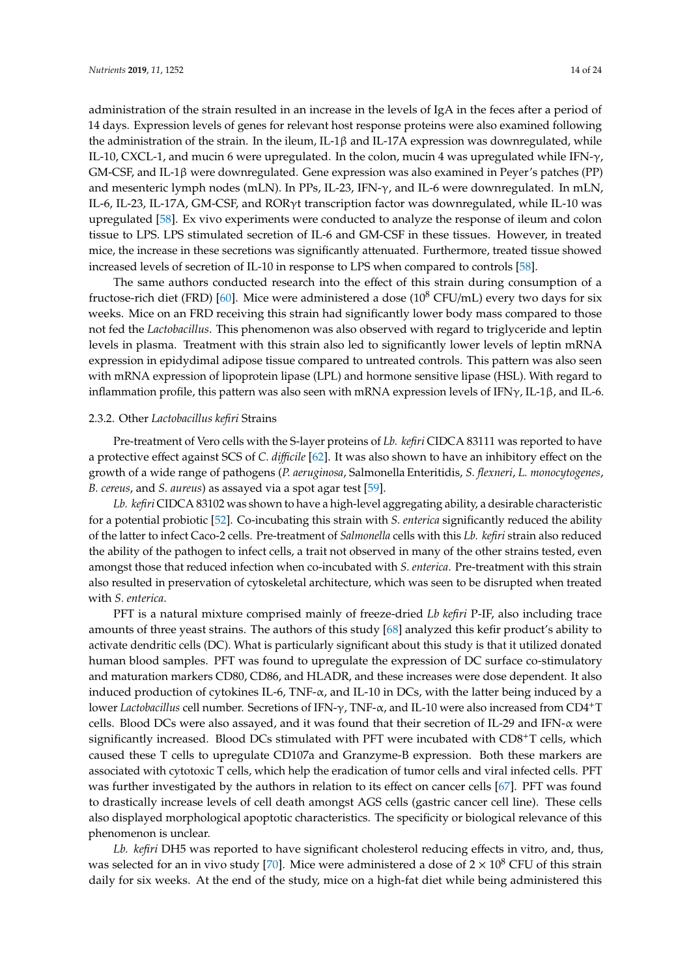administration of the strain resulted in an increase in the levels of IgA in the feces after a period of 14 days. Expression levels of genes for relevant host response proteins were also examined following the administration of the strain. In the ileum, IL-1 $\beta$  and IL-17A expression was downregulated, while IL-10, CXCL-1, and mucin 6 were upregulated. In the colon, mucin 4 was upregulated while IFN- $\gamma$ , GM-CSF, and IL-1β were downregulated. Gene expression was also examined in Peyer's patches (PP) and mesenteric lymph nodes (mLN). In PPs, IL-23, IFN-γ, and IL-6 were downregulated. In mLN, IL-6, IL-23, IL-17A, GM-CSF, and RORγt transcription factor was downregulated, while IL-10 was upregulated [\[58\]](#page-21-23). Ex vivo experiments were conducted to analyze the response of ileum and colon tissue to LPS. LPS stimulated secretion of IL-6 and GM-CSF in these tissues. However, in treated mice, the increase in these secretions was significantly attenuated. Furthermore, treated tissue showed increased levels of secretion of IL-10 in response to LPS when compared to controls [\[58\]](#page-21-23).

The same authors conducted research into the effect of this strain during consumption of a fructose-rich diet (FRD) [\[60\]](#page-21-24). Mice were administered a dose ( $10^8$  CFU/mL) every two days for six weeks. Mice on an FRD receiving this strain had significantly lower body mass compared to those not fed the *Lactobacillus*. This phenomenon was also observed with regard to triglyceride and leptin levels in plasma. Treatment with this strain also led to significantly lower levels of leptin mRNA expression in epidydimal adipose tissue compared to untreated controls. This pattern was also seen with mRNA expression of lipoprotein lipase (LPL) and hormone sensitive lipase (HSL). With regard to inflammation profile, this pattern was also seen with mRNA expression levels of IFN $\gamma$ , IL-1β, and IL-6.

#### 2.3.2. Other *Lactobacillus kefiri* Strains

Pre-treatment of Vero cells with the S-layer proteins of *Lb. kefiri* CIDCA 83111 was reported to have a protective effect against SCS of *C. di*ffi*cile* [\[62\]](#page-22-20). It was also shown to have an inhibitory effect on the growth of a wide range of pathogens (*P. aeruginosa*, Salmonella Enteritidis, *S. flexneri*, *L. monocytogenes*, *B. cereus*, and *S. aureus*) as assayed via a spot agar test [\[59\]](#page-21-22).

*Lb. kefiri* CIDCA 83102 was shown to have a high-level aggregating ability, a desirable characteristic for a potential probiotic [\[52\]](#page-21-25). Co-incubating this strain with *S. enterica* significantly reduced the ability of the latter to infect Caco-2 cells. Pre-treatment of *Salmonella* cells with this *Lb. kefiri* strain also reduced the ability of the pathogen to infect cells, a trait not observed in many of the other strains tested, even amongst those that reduced infection when co-incubated with *S. enterica*. Pre-treatment with this strain also resulted in preservation of cytoskeletal architecture, which was seen to be disrupted when treated with *S. enterica*.

PFT is a natural mixture comprised mainly of freeze-dried *Lb kefiri* P-IF, also including trace amounts of three yeast strains. The authors of this study [\[68\]](#page-22-21) analyzed this kefir product's ability to activate dendritic cells (DC). What is particularly significant about this study is that it utilized donated human blood samples. PFT was found to upregulate the expression of DC surface co-stimulatory and maturation markers CD80, CD86, and HLADR, and these increases were dose dependent. It also induced production of cytokines IL-6, TNF- $\alpha$ , and IL-10 in DCs, with the latter being induced by a lower *Lactobacillus* cell number. Secretions of IFN-γ, TNF-α, and IL-10 were also increased from CD4+T cells. Blood DCs were also assayed, and it was found that their secretion of IL-29 and IFN- $\alpha$  were significantly increased. Blood DCs stimulated with PFT were incubated with CD8+T cells, which caused these T cells to upregulate CD107a and Granzyme-B expression. Both these markers are associated with cytotoxic T cells, which help the eradication of tumor cells and viral infected cells. PFT was further investigated by the authors in relation to its effect on cancer cells [\[67\]](#page-22-22). PFT was found to drastically increase levels of cell death amongst AGS cells (gastric cancer cell line). These cells also displayed morphological apoptotic characteristics. The specificity or biological relevance of this phenomenon is unclear.

*Lb. kefiri* DH5 was reported to have significant cholesterol reducing effects in vitro, and, thus, was selected for an in vivo study [\[70\]](#page-22-23). Mice were administered a dose of  $2 \times 10^8$  CFU of this strain daily for six weeks. At the end of the study, mice on a high-fat diet while being administered this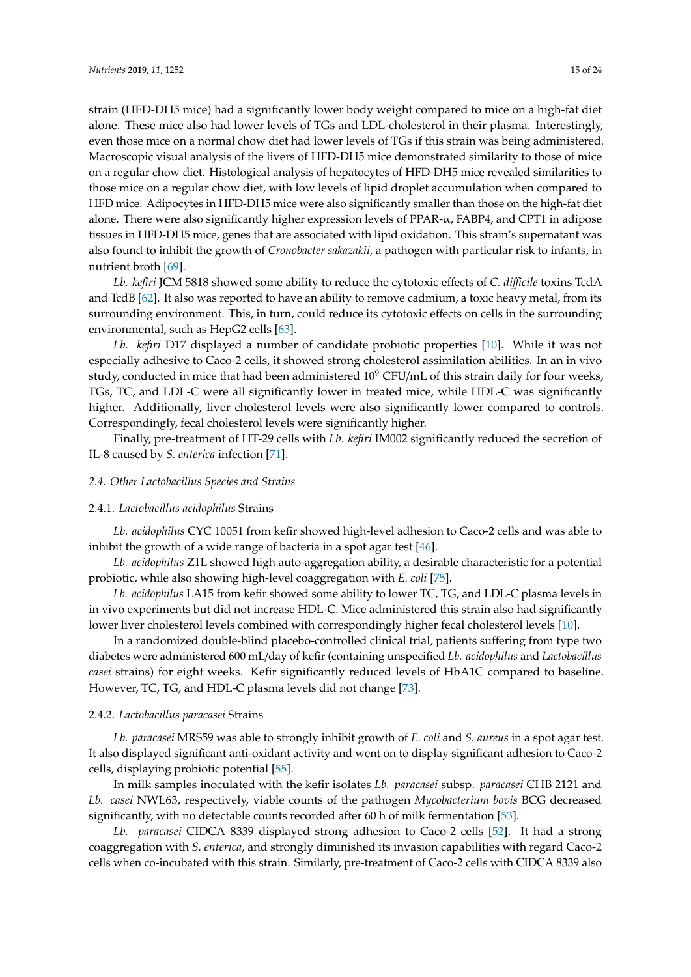strain (HFD-DH5 mice) had a significantly lower body weight compared to mice on a high-fat diet alone. These mice also had lower levels of TGs and LDL-cholesterol in their plasma. Interestingly, even those mice on a normal chow diet had lower levels of TGs if this strain was being administered. Macroscopic visual analysis of the livers of HFD-DH5 mice demonstrated similarity to those of mice on a regular chow diet. Histological analysis of hepatocytes of HFD-DH5 mice revealed similarities to those mice on a regular chow diet, with low levels of lipid droplet accumulation when compared to HFD mice. Adipocytes in HFD-DH5 mice were also significantly smaller than those on the high-fat diet alone. There were also significantly higher expression levels of PPAR-α, FABP4, and CPT1 in adipose tissues in HFD-DH5 mice, genes that are associated with lipid oxidation. This strain's supernatant was also found to inhibit the growth of *Cronobacter sakazakii*, a pathogen with particular risk to infants, in nutrient broth [\[69\]](#page-22-24).

*Lb. kefiri* JCM 5818 showed some ability to reduce the cytotoxic effects of *C. di*ffi*cile* toxins TcdA and TcdB [\[62\]](#page-22-20). It also was reported to have an ability to remove cadmium, a toxic heavy metal, from its surrounding environment. This, in turn, could reduce its cytotoxic effects on cells in the surrounding environmental, such as HepG2 cells [\[63\]](#page-22-25).

*Lb. kefiri* D17 displayed a number of candidate probiotic properties [\[10\]](#page-19-23). While it was not especially adhesive to Caco-2 cells, it showed strong cholesterol assimilation abilities. In an in vivo study, conducted in mice that had been administered  $10^9$  CFU/mL of this strain daily for four weeks, TGs, TC, and LDL-C were all significantly lower in treated mice, while HDL-C was significantly higher. Additionally, liver cholesterol levels were also significantly lower compared to controls. Correspondingly, fecal cholesterol levels were significantly higher.

Finally, pre-treatment of HT-29 cells with *Lb. kefiri* IM002 significantly reduced the secretion of IL-8 caused by *S. enterica* infection [\[71\]](#page-22-26).

### *2.4. Other Lactobacillus Species and Strains*

# 2.4.1. *Lactobacillus acidophilus* Strains

*Lb. acidophilus* CYC 10051 from kefir showed high-level adhesion to Caco-2 cells and was able to inhibit the growth of a wide range of bacteria in a spot agar test [\[46\]](#page-21-8).

*Lb. acidophilus* Z1L showed high auto-aggregation ability, a desirable characteristic for a potential probiotic, while also showing high-level coaggregation with *E. coli* [\[75\]](#page-22-27).

*Lb. acidophilus* LA15 from kefir showed some ability to lower TC, TG, and LDL-C plasma levels in in vivo experiments but did not increase HDL-C. Mice administered this strain also had significantly lower liver cholesterol levels combined with correspondingly higher fecal cholesterol levels [\[10\]](#page-19-23).

In a randomized double-blind placebo-controlled clinical trial, patients suffering from type two diabetes were administered 600 mL/day of kefir (containing unspecified *Lb. acidophilus* and *Lactobacillus casei* strains) for eight weeks. Kefir significantly reduced levels of HbA1C compared to baseline. However, TC, TG, and HDL-C plasma levels did not change [\[73\]](#page-22-28).

## 2.4.2. *Lactobacillus paracasei* Strains

*Lb. paracasei* MRS59 was able to strongly inhibit growth of *E. coli* and *S. aureus* in a spot agar test. It also displayed significant anti-oxidant activity and went on to display significant adhesion to Caco-2 cells, displaying probiotic potential [\[55\]](#page-21-26).

In milk samples inoculated with the kefir isolates *Lb. paracasei* subsp. *paracasei* CHB 2121 and *Lb. casei* NWL63, respectively, viable counts of the pathogen *Mycobacterium bovis* BCG decreased significantly, with no detectable counts recorded after 60 h of milk fermentation [\[53\]](#page-21-27).

*Lb. paracasei* CIDCA 8339 displayed strong adhesion to Caco-2 cells [\[52\]](#page-21-25). It had a strong coaggregation with *S. enterica*, and strongly diminished its invasion capabilities with regard Caco-2 cells when co-incubated with this strain. Similarly, pre-treatment of Caco-2 cells with CIDCA 8339 also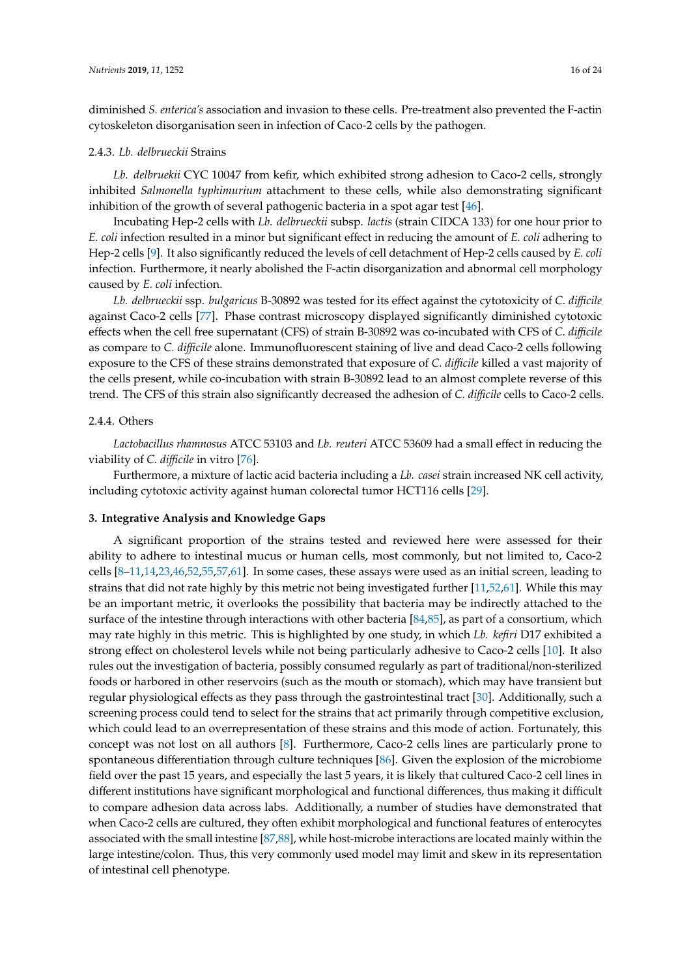diminished *S. enterica's* association and invasion to these cells. Pre-treatment also prevented the F-actin cytoskeleton disorganisation seen in infection of Caco-2 cells by the pathogen.

#### 2.4.3. *Lb. delbrueckii* Strains

*Lb. delbruekii* CYC 10047 from kefir, which exhibited strong adhesion to Caco-2 cells, strongly inhibited *Salmonella typhimurium* attachment to these cells, while also demonstrating significant inhibition of the growth of several pathogenic bacteria in a spot agar test [\[46\]](#page-21-8).

Incubating Hep-2 cells with *Lb. delbrueckii* subsp. *lactis* (strain CIDCA 133) for one hour prior to *E. coli* infection resulted in a minor but significant effect in reducing the amount of *E. coli* adhering to Hep-2 cells [\[9\]](#page-19-16). It also significantly reduced the levels of cell detachment of Hep-2 cells caused by *E. coli* infection. Furthermore, it nearly abolished the F-actin disorganization and abnormal cell morphology caused by *E. coli* infection.

*Lb. delbrueckii* ssp. *bulgaricus* B-30892 was tested for its effect against the cytotoxicity of *C. di*ffi*cile* against Caco-2 cells [\[77\]](#page-22-29). Phase contrast microscopy displayed significantly diminished cytotoxic effects when the cell free supernatant (CFS) of strain B-30892 was co-incubated with CFS of *C. di*ffi*cile* as compare to *C. di*ffi*cile* alone. Immunofluorescent staining of live and dead Caco-2 cells following exposure to the CFS of these strains demonstrated that exposure of *C. di*ffi*cile* killed a vast majority of the cells present, while co-incubation with strain B-30892 lead to an almost complete reverse of this trend. The CFS of this strain also significantly decreased the adhesion of *C. di*ffi*cile* cells to Caco-2 cells.

#### 2.4.4. Others

*Lactobacillus rhamnosus* ATCC 53103 and *Lb. reuteri* ATCC 53609 had a small effect in reducing the viability of *C. difficile* in vitro [\[76\]](#page-22-30).

Furthermore, a mixture of lactic acid bacteria including a *Lb. casei* strain increased NK cell activity, including cytotoxic activity against human colorectal tumor HCT116 cells [\[29\]](#page-20-11).

#### **3. Integrative Analysis and Knowledge Gaps**

A significant proportion of the strains tested and reviewed here were assessed for their ability to adhere to intestinal mucus or human cells, most commonly, but not limited to, Caco-2 cells  $[8-11,14,23,46,52,55,57,61]$  $[8-11,14,23,46,52,55,57,61]$  $[8-11,14,23,46,52,55,57,61]$  $[8-11,14,23,46,52,55,57,61]$  $[8-11,14,23,46,52,55,57,61]$  $[8-11,14,23,46,52,55,57,61]$  $[8-11,14,23,46,52,55,57,61]$  $[8-11,14,23,46,52,55,57,61]$  $[8-11,14,23,46,52,55,57,61]$ . In some cases, these assays were used as an initial screen, leading to strains that did not rate highly by this metric not being investigated further [\[11,](#page-19-24)[52,](#page-21-25)[61\]](#page-21-21). While this may be an important metric, it overlooks the possibility that bacteria may be indirectly attached to the surface of the intestine through interactions with other bacteria [\[84,](#page-23-1)[85\]](#page-23-2), as part of a consortium, which may rate highly in this metric. This is highlighted by one study, in which *Lb. kefiri* D17 exhibited a strong effect on cholesterol levels while not being particularly adhesive to Caco-2 cells [\[10\]](#page-19-23). It also rules out the investigation of bacteria, possibly consumed regularly as part of traditional/non-sterilized foods or harbored in other reservoirs (such as the mouth or stomach), which may have transient but regular physiological effects as they pass through the gastrointestinal tract [\[30\]](#page-20-3). Additionally, such a screening process could tend to select for the strains that act primarily through competitive exclusion, which could lead to an overrepresentation of these strains and this mode of action. Fortunately, this concept was not lost on all authors [\[8\]](#page-19-28). Furthermore, Caco-2 cells lines are particularly prone to spontaneous differentiation through culture techniques [\[86\]](#page-23-3). Given the explosion of the microbiome field over the past 15 years, and especially the last 5 years, it is likely that cultured Caco-2 cell lines in different institutions have significant morphological and functional differences, thus making it difficult to compare adhesion data across labs. Additionally, a number of studies have demonstrated that when Caco-2 cells are cultured, they often exhibit morphological and functional features of enterocytes associated with the small intestine [\[87](#page-23-4)[,88\]](#page-23-5), while host-microbe interactions are located mainly within the large intestine/colon. Thus, this very commonly used model may limit and skew in its representation of intestinal cell phenotype.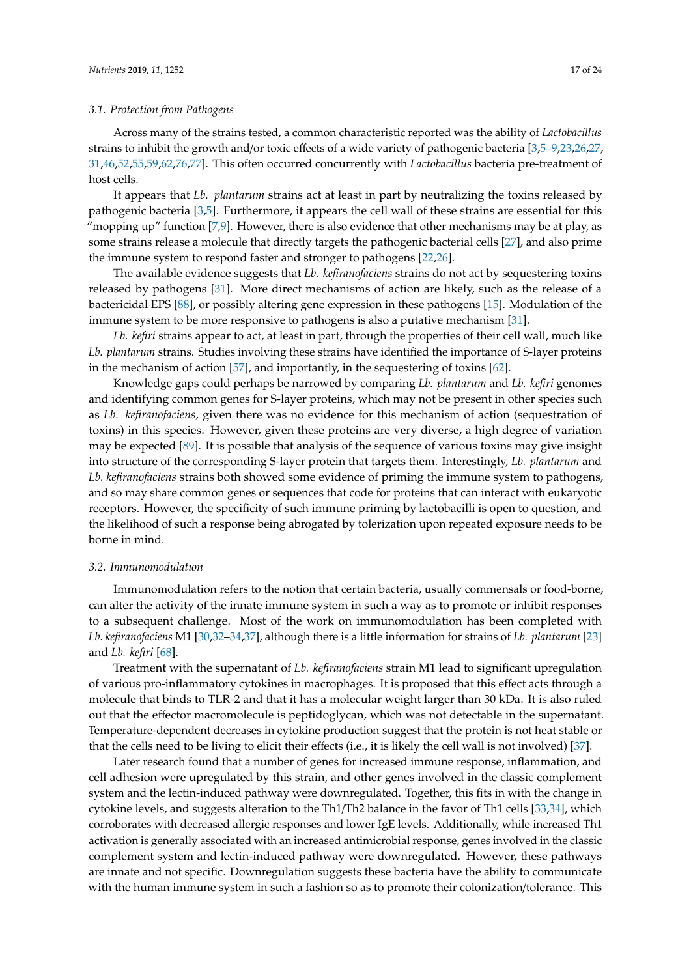#### *3.1. Protection from Pathogens*

Across many of the strains tested, a common characteristic reported was the ability of *Lactobacillus* strains to inhibit the growth and/or toxic effects of a wide variety of pathogenic bacteria [\[3](#page-18-5)[,5](#page-18-4)[–9](#page-19-16)[,23,](#page-19-17)[26,](#page-20-9)[27,](#page-20-10) [31](#page-20-4)[,46](#page-21-8)[,52](#page-21-25)[,55](#page-21-26)[,59](#page-21-22)[,62](#page-22-20)[,76](#page-22-30)[,77\]](#page-22-29). This often occurred concurrently with *Lactobacillus* bacteria pre-treatment of host cells.

It appears that *Lb. plantarum* strains act at least in part by neutralizing the toxins released by pathogenic bacteria [\[3,](#page-18-5)[5\]](#page-18-4). Furthermore, it appears the cell wall of these strains are essential for this "mopping up" function  $[7,9]$  $[7,9]$ . However, there is also evidence that other mechanisms may be at play, as some strains release a molecule that directly targets the pathogenic bacterial cells [\[27\]](#page-20-10), and also prime the immune system to respond faster and stronger to pathogens [\[22,](#page-19-18)[26\]](#page-20-9).

The available evidence suggests that *Lb. kefiranofaciens* strains do not act by sequestering toxins released by pathogens [\[31\]](#page-20-4). More direct mechanisms of action are likely, such as the release of a bactericidal EPS [\[88\]](#page-23-5), or possibly altering gene expression in these pathogens [\[15\]](#page-19-27). Modulation of the immune system to be more responsive to pathogens is also a putative mechanism [\[31\]](#page-20-4).

*Lb. kefiri* strains appear to act, at least in part, through the properties of their cell wall, much like *Lb. plantarum* strains. Studies involving these strains have identified the importance of S-layer proteins in the mechanism of action [\[57\]](#page-21-20), and importantly, in the sequestering of toxins [\[62\]](#page-22-20).

Knowledge gaps could perhaps be narrowed by comparing *Lb. plantarum* and *Lb. kefiri* genomes and identifying common genes for S-layer proteins, which may not be present in other species such as *Lb. kefiranofaciens*, given there was no evidence for this mechanism of action (sequestration of toxins) in this species. However, given these proteins are very diverse, a high degree of variation may be expected [\[89\]](#page-23-6). It is possible that analysis of the sequence of various toxins may give insight into structure of the corresponding S-layer protein that targets them. Interestingly, *Lb. plantarum* and *Lb. kefiranofaciens* strains both showed some evidence of priming the immune system to pathogens, and so may share common genes or sequences that code for proteins that can interact with eukaryotic receptors. However, the specificity of such immune priming by lactobacilli is open to question, and the likelihood of such a response being abrogated by tolerization upon repeated exposure needs to be borne in mind.

# *3.2. Immunomodulation*

Immunomodulation refers to the notion that certain bacteria, usually commensals or food-borne, can alter the activity of the innate immune system in such a way as to promote or inhibit responses to a subsequent challenge. Most of the work on immunomodulation has been completed with *Lb. kefiranofaciens* M1 [\[30,](#page-20-3)[32](#page-20-15)[–34](#page-20-14)[,37\]](#page-20-12), although there is a little information for strains of *Lb. plantarum* [\[23\]](#page-19-17) and *Lb. kefiri* [\[68\]](#page-22-21).

Treatment with the supernatant of *Lb. kefiranofaciens* strain M1 lead to significant upregulation of various pro-inflammatory cytokines in macrophages. It is proposed that this effect acts through a molecule that binds to TLR-2 and that it has a molecular weight larger than 30 kDa. It is also ruled out that the effector macromolecule is peptidoglycan, which was not detectable in the supernatant. Temperature-dependent decreases in cytokine production suggest that the protein is not heat stable or that the cells need to be living to elicit their effects (i.e., it is likely the cell wall is not involved) [\[37\]](#page-20-12).

Later research found that a number of genes for increased immune response, inflammation, and cell adhesion were upregulated by this strain, and other genes involved in the classic complement system and the lectin-induced pathway were downregulated. Together, this fits in with the change in cytokine levels, and suggests alteration to the Th1/Th2 balance in the favor of Th1 cells [\[33](#page-20-13)[,34\]](#page-20-14), which corroborates with decreased allergic responses and lower IgE levels. Additionally, while increased Th1 activation is generally associated with an increased antimicrobial response, genes involved in the classic complement system and lectin-induced pathway were downregulated. However, these pathways are innate and not specific. Downregulation suggests these bacteria have the ability to communicate with the human immune system in such a fashion so as to promote their colonization/tolerance. This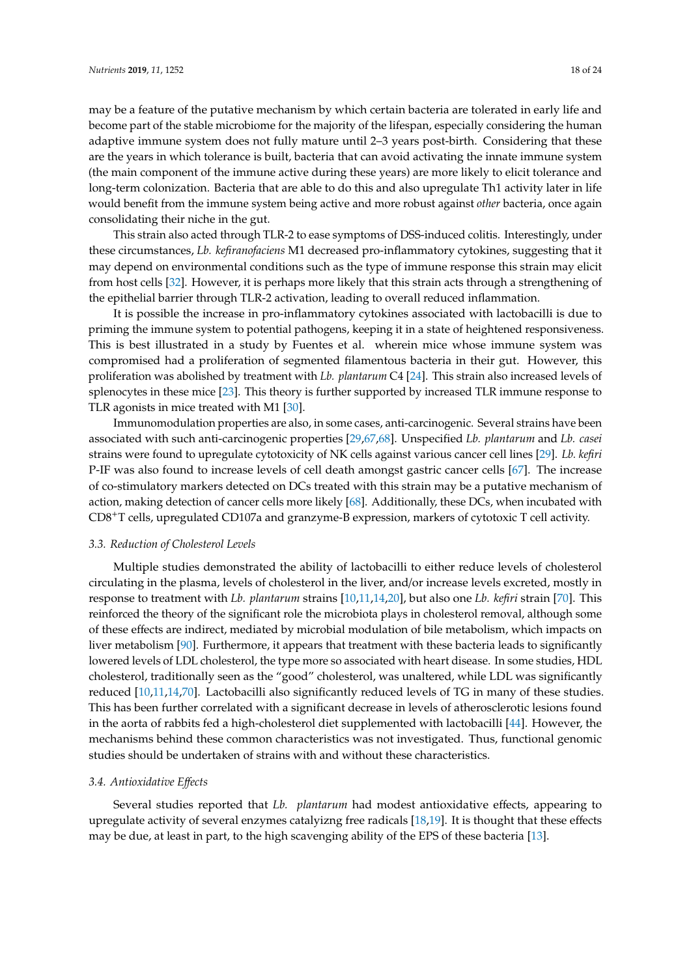may be a feature of the putative mechanism by which certain bacteria are tolerated in early life and become part of the stable microbiome for the majority of the lifespan, especially considering the human adaptive immune system does not fully mature until 2–3 years post-birth. Considering that these are the years in which tolerance is built, bacteria that can avoid activating the innate immune system (the main component of the immune active during these years) are more likely to elicit tolerance and long-term colonization. Bacteria that are able to do this and also upregulate Th1 activity later in life would benefit from the immune system being active and more robust against *other* bacteria, once again consolidating their niche in the gut.

This strain also acted through TLR-2 to ease symptoms of DSS-induced colitis. Interestingly, under these circumstances, *Lb. kefiranofaciens* M1 decreased pro-inflammatory cytokines, suggesting that it may depend on environmental conditions such as the type of immune response this strain may elicit from host cells [\[32\]](#page-20-15). However, it is perhaps more likely that this strain acts through a strengthening of the epithelial barrier through TLR-2 activation, leading to overall reduced inflammation.

It is possible the increase in pro-inflammatory cytokines associated with lactobacilli is due to priming the immune system to potential pathogens, keeping it in a state of heightened responsiveness. This is best illustrated in a study by Fuentes et al. wherein mice whose immune system was compromised had a proliferation of segmented filamentous bacteria in their gut. However, this proliferation was abolished by treatment with *Lb. plantarum* C4 [\[24\]](#page-20-8). This strain also increased levels of splenocytes in these mice [\[23\]](#page-19-17). This theory is further supported by increased TLR immune response to TLR agonists in mice treated with M1 [\[30\]](#page-20-3).

Immunomodulation properties are also, in some cases, anti-carcinogenic. Several strains have been associated with such anti-carcinogenic properties [\[29](#page-20-11)[,67](#page-22-22)[,68\]](#page-22-21). Unspecified *Lb. plantarum* and *Lb. casei* strains were found to upregulate cytotoxicity of NK cells against various cancer cell lines [\[29\]](#page-20-11). *Lb. kefiri* P-IF was also found to increase levels of cell death amongst gastric cancer cells [\[67\]](#page-22-22). The increase of co-stimulatory markers detected on DCs treated with this strain may be a putative mechanism of action, making detection of cancer cells more likely [\[68\]](#page-22-21). Additionally, these DCs, when incubated with CD8+T cells, upregulated CD107a and granzyme-B expression, markers of cytotoxic T cell activity.

#### *3.3. Reduction of Cholesterol Levels*

Multiple studies demonstrated the ability of lactobacilli to either reduce levels of cholesterol circulating in the plasma, levels of cholesterol in the liver, and/or increase levels excreted, mostly in response to treatment with *Lb. plantarum* strains [\[10](#page-19-23)[,11](#page-19-24)[,14](#page-19-25)[,20\]](#page-19-19), but also one *Lb. kefiri* strain [\[70\]](#page-22-23). This reinforced the theory of the significant role the microbiota plays in cholesterol removal, although some of these effects are indirect, mediated by microbial modulation of bile metabolism, which impacts on liver metabolism [\[90\]](#page-23-7). Furthermore, it appears that treatment with these bacteria leads to significantly lowered levels of LDL cholesterol, the type more so associated with heart disease. In some studies, HDL cholesterol, traditionally seen as the "good" cholesterol, was unaltered, while LDL was significantly reduced [\[10](#page-19-23)[,11](#page-19-24)[,14](#page-19-25)[,70\]](#page-22-23). Lactobacilli also significantly reduced levels of TG in many of these studies. This has been further correlated with a significant decrease in levels of atherosclerotic lesions found in the aorta of rabbits fed a high-cholesterol diet supplemented with lactobacilli [\[44\]](#page-21-18). However, the mechanisms behind these common characteristics was not investigated. Thus, functional genomic studies should be undertaken of strains with and without these characteristics.

# *3.4. Antioxidative E*ff*ects*

Several studies reported that *Lb. plantarum* had modest antioxidative effects, appearing to upregulate activity of several enzymes catalyizng free radicals [\[18](#page-19-21)[,19\]](#page-19-20). It is thought that these effects may be due, at least in part, to the high scavenging ability of the EPS of these bacteria [\[13\]](#page-19-26).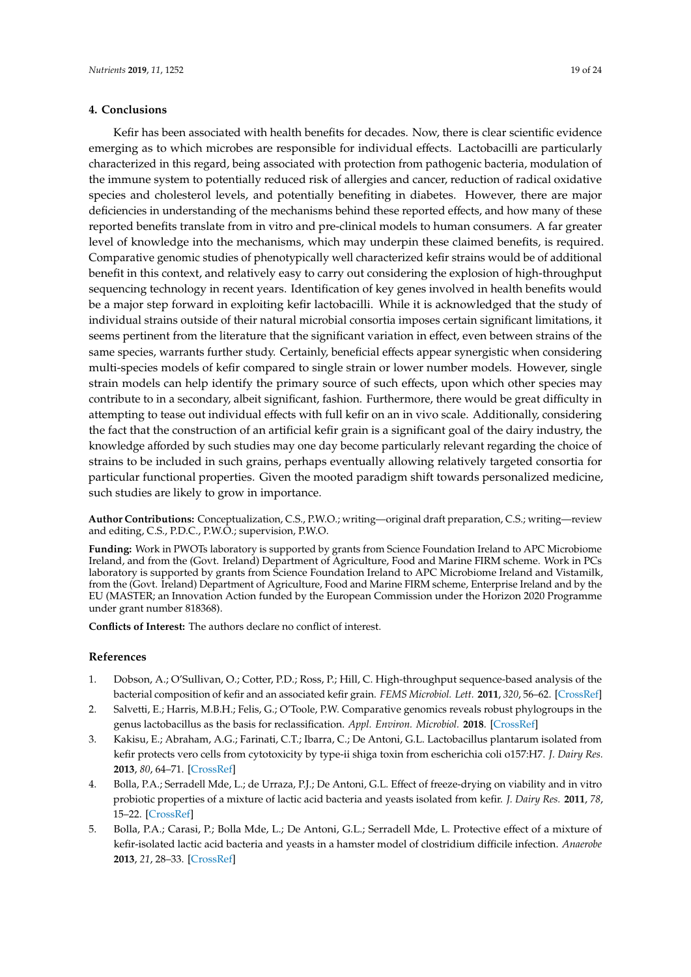# **4. Conclusions**

Kefir has been associated with health benefits for decades. Now, there is clear scientific evidence emerging as to which microbes are responsible for individual effects. Lactobacilli are particularly characterized in this regard, being associated with protection from pathogenic bacteria, modulation of the immune system to potentially reduced risk of allergies and cancer, reduction of radical oxidative species and cholesterol levels, and potentially benefiting in diabetes. However, there are major deficiencies in understanding of the mechanisms behind these reported effects, and how many of these reported benefits translate from in vitro and pre-clinical models to human consumers. A far greater level of knowledge into the mechanisms, which may underpin these claimed benefits, is required. Comparative genomic studies of phenotypically well characterized kefir strains would be of additional benefit in this context, and relatively easy to carry out considering the explosion of high-throughput sequencing technology in recent years. Identification of key genes involved in health benefits would be a major step forward in exploiting kefir lactobacilli. While it is acknowledged that the study of individual strains outside of their natural microbial consortia imposes certain significant limitations, it seems pertinent from the literature that the significant variation in effect, even between strains of the same species, warrants further study. Certainly, beneficial effects appear synergistic when considering multi-species models of kefir compared to single strain or lower number models. However, single strain models can help identify the primary source of such effects, upon which other species may contribute to in a secondary, albeit significant, fashion. Furthermore, there would be great difficulty in attempting to tease out individual effects with full kefir on an in vivo scale. Additionally, considering the fact that the construction of an artificial kefir grain is a significant goal of the dairy industry, the knowledge afforded by such studies may one day become particularly relevant regarding the choice of strains to be included in such grains, perhaps eventually allowing relatively targeted consortia for particular functional properties. Given the mooted paradigm shift towards personalized medicine, such studies are likely to grow in importance.

<span id="page-18-3"></span><span id="page-18-2"></span>**Author Contributions:** Conceptualization, C.S., P.W.O.; writing—original draft preparation, C.S.; writing—review and editing, C.S., P.D.C., P.W.O.; supervision, P.W.O.

**Funding:** Work in PWOTs laboratory is supported by grants from Science Foundation Ireland to APC Microbiome Ireland, and from the (Govt. Ireland) Department of Agriculture, Food and Marine FIRM scheme. Work in PCs laboratory is supported by grants from Science Foundation Ireland to APC Microbiome Ireland and Vistamilk, from the (Govt. Ireland) Department of Agriculture, Food and Marine FIRM scheme, Enterprise Ireland and by the EU (MASTER; an Innovation Action funded by the European Commission under the Horizon 2020 Programme under grant number 818368).

**Conflicts of Interest:** The authors declare no conflict of interest.

# **References**

- <span id="page-18-0"></span>1. Dobson, A.; O'Sullivan, O.; Cotter, P.D.; Ross, P.; Hill, C. High-throughput sequence-based analysis of the bacterial composition of kefir and an associated kefir grain. *FEMS Microbiol. Lett.* **2011**, *320*, 56–62. [\[CrossRef\]](http://dx.doi.org/10.1111/j.1574-6968.2011.02290.x)
- <span id="page-18-1"></span>2. Salvetti, E.; Harris, M.B.H.; Felis, G.; O'Toole, P.W. Comparative genomics reveals robust phylogroups in the genus lactobacillus as the basis for reclassification. *Appl. Environ. Microbiol.* **2018**. [\[CrossRef\]](http://dx.doi.org/10.1128/AEM.00993-18)
- <span id="page-18-5"></span>3. Kakisu, E.; Abraham, A.G.; Farinati, C.T.; Ibarra, C.; De Antoni, G.L. Lactobacillus plantarum isolated from kefir protects vero cells from cytotoxicity by type-ii shiga toxin from escherichia coli o157:H7. *J. Dairy Res.* **2013**, *80*, 64–71. [\[CrossRef\]](http://dx.doi.org/10.1017/S0022029912000659)
- 4. Bolla, P.A.; Serradell Mde, L.; de Urraza, P.J.; De Antoni, G.L. Effect of freeze-drying on viability and in vitro probiotic properties of a mixture of lactic acid bacteria and yeasts isolated from kefir. *J. Dairy Res.* **2011**, *78*, 15–22. [\[CrossRef\]](http://dx.doi.org/10.1017/S0022029910000610)
- <span id="page-18-4"></span>5. Bolla, P.A.; Carasi, P.; Bolla Mde, L.; De Antoni, G.L.; Serradell Mde, L. Protective effect of a mixture of kefir-isolated lactic acid bacteria and yeasts in a hamster model of clostridium difficile infection. *Anaerobe* **2013**, *21*, 28–33. [\[CrossRef\]](http://dx.doi.org/10.1016/j.anaerobe.2013.03.010)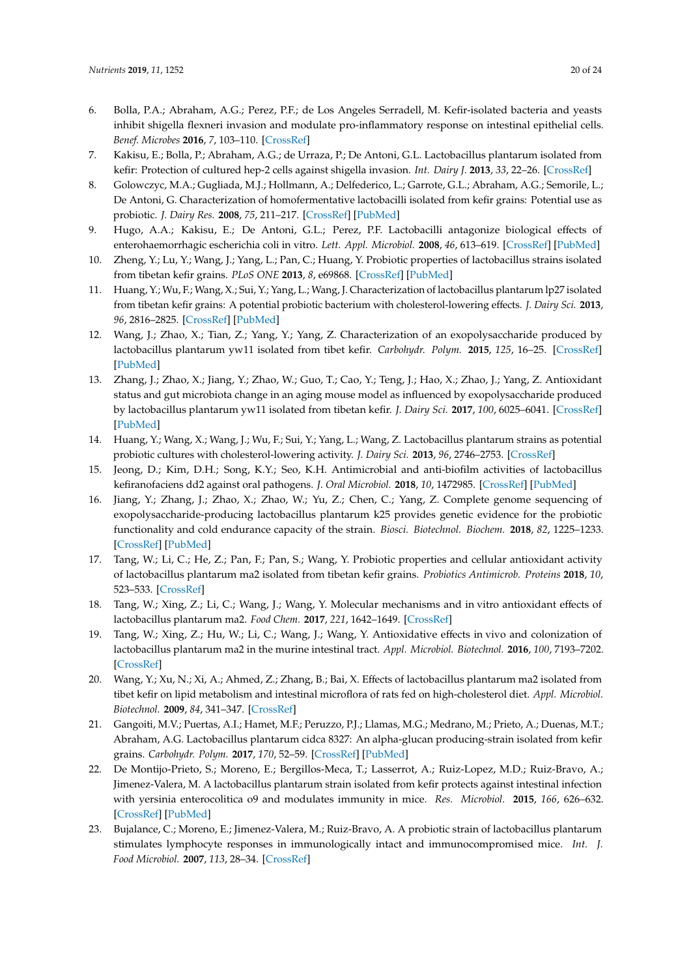- <span id="page-19-14"></span><span id="page-19-13"></span><span id="page-19-5"></span><span id="page-19-4"></span><span id="page-19-3"></span><span id="page-19-2"></span><span id="page-19-1"></span><span id="page-19-0"></span>6. Bolla, P.A.; Abraham, A.G.; Perez, P.F.; de Los Angeles Serradell, M. Kefir-isolated bacteria and yeasts inhibit shigella flexneri invasion and modulate pro-inflammatory response on intestinal epithelial cells. *Benef. Microbes* **2016**, *7*, 103–110. [\[CrossRef\]](http://dx.doi.org/10.3920/BM2015.0061)
- <span id="page-19-15"></span><span id="page-19-6"></span>7. Kakisu, E.; Bolla, P.; Abraham, A.G.; de Urraza, P.; De Antoni, G.L. Lactobacillus plantarum isolated from kefir: Protection of cultured hep-2 cells against shigella invasion. *Int. Dairy J.* **2013**, *33*, 22–26. [\[CrossRef\]](http://dx.doi.org/10.1016/j.idairyj.2013.06.004)
- <span id="page-19-28"></span><span id="page-19-7"></span>8. Golowczyc, M.A.; Gugliada, M.J.; Hollmann, A.; Delfederico, L.; Garrote, G.L.; Abraham, A.G.; Semorile, L.; De Antoni, G. Characterization of homofermentative lactobacilli isolated from kefir grains: Potential use as probiotic. *J. Dairy Res.* **2008**, *75*, 211–217. [\[CrossRef\]](http://dx.doi.org/10.1017/S0022029908003117) [\[PubMed\]](http://www.ncbi.nlm.nih.gov/pubmed/18474139)
- <span id="page-19-16"></span><span id="page-19-8"></span>9. Hugo, A.A.; Kakisu, E.; De Antoni, G.L.; Perez, P.F. Lactobacilli antagonize biological effects of enterohaemorrhagic escherichia coli in vitro. *Lett. Appl. Microbiol.* **2008**, *46*, 613–619. [\[CrossRef\]](http://dx.doi.org/10.1111/j.1472-765X.2008.02363.x) [\[PubMed\]](http://www.ncbi.nlm.nih.gov/pubmed/18422938)
- <span id="page-19-23"></span><span id="page-19-9"></span>10. Zheng, Y.; Lu, Y.; Wang, J.; Yang, L.; Pan, C.; Huang, Y. Probiotic properties of lactobacillus strains isolated from tibetan kefir grains. *PLoS ONE* **2013**, *8*, e69868. [\[CrossRef\]](http://dx.doi.org/10.1371/journal.pone.0069868) [\[PubMed\]](http://www.ncbi.nlm.nih.gov/pubmed/23894554)
- <span id="page-19-24"></span>11. Huang, Y.; Wu, F.; Wang, X.; Sui, Y.; Yang, L.; Wang, J. Characterization of lactobacillus plantarum lp27 isolated from tibetan kefir grains: A potential probiotic bacterium with cholesterol-lowering effects. *J. Dairy Sci.* **2013**, *96*, 2816–2825. [\[CrossRef\]](http://dx.doi.org/10.3168/jds.2012-6371) [\[PubMed\]](http://www.ncbi.nlm.nih.gov/pubmed/23498003)
- 12. Wang, J.; Zhao, X.; Tian, Z.; Yang, Y.; Yang, Z. Characterization of an exopolysaccharide produced by lactobacillus plantarum yw11 isolated from tibet kefir. *Carbohydr. Polym.* **2015**, *125*, 16–25. [\[CrossRef\]](http://dx.doi.org/10.1016/j.carbpol.2015.03.003) [\[PubMed\]](http://www.ncbi.nlm.nih.gov/pubmed/25857955)
- <span id="page-19-26"></span><span id="page-19-10"></span>13. Zhang, J.; Zhao, X.; Jiang, Y.; Zhao, W.; Guo, T.; Cao, Y.; Teng, J.; Hao, X.; Zhao, J.; Yang, Z. Antioxidant status and gut microbiota change in an aging mouse model as influenced by exopolysaccharide produced by lactobacillus plantarum yw11 isolated from tibetan kefir. *J. Dairy Sci.* **2017**, *100*, 6025–6041. [\[CrossRef\]](http://dx.doi.org/10.3168/jds.2016-12480) [\[PubMed\]](http://www.ncbi.nlm.nih.gov/pubmed/28551178)
- <span id="page-19-25"></span><span id="page-19-11"></span>14. Huang, Y.; Wang, X.; Wang, J.; Wu, F.; Sui, Y.; Yang, L.; Wang, Z. Lactobacillus plantarum strains as potential probiotic cultures with cholesterol-lowering activity. *J. Dairy Sci.* **2013**, *96*, 2746–2753. [\[CrossRef\]](http://dx.doi.org/10.3168/jds.2012-6123)
- <span id="page-19-27"></span><span id="page-19-12"></span>15. Jeong, D.; Kim, D.H.; Song, K.Y.; Seo, K.H. Antimicrobial and anti-biofilm activities of lactobacillus kefiranofaciens dd2 against oral pathogens. *J. Oral Microbiol.* **2018**, *10*, 1472985. [\[CrossRef\]](http://dx.doi.org/10.1080/20002297.2018.1472985) [\[PubMed\]](http://www.ncbi.nlm.nih.gov/pubmed/29868163)
- 16. Jiang, Y.; Zhang, J.; Zhao, X.; Zhao, W.; Yu, Z.; Chen, C.; Yang, Z. Complete genome sequencing of exopolysaccharide-producing lactobacillus plantarum k25 provides genetic evidence for the probiotic functionality and cold endurance capacity of the strain. *Biosci. Biotechnol. Biochem.* **2018**, *82*, 1225–1233. [\[CrossRef\]](http://dx.doi.org/10.1080/09168451.2018.1453293) [\[PubMed\]](http://www.ncbi.nlm.nih.gov/pubmed/29564960)
- <span id="page-19-22"></span>17. Tang, W.; Li, C.; He, Z.; Pan, F.; Pan, S.; Wang, Y. Probiotic properties and cellular antioxidant activity of lactobacillus plantarum ma2 isolated from tibetan kefir grains. *Probiotics Antimicrob. Proteins* **2018**, *10*, 523–533. [\[CrossRef\]](http://dx.doi.org/10.1007/s12602-017-9349-8)
- <span id="page-19-21"></span>18. Tang, W.; Xing, Z.; Li, C.; Wang, J.; Wang, Y. Molecular mechanisms and in vitro antioxidant effects of lactobacillus plantarum ma2. *Food Chem.* **2017**, *221*, 1642–1649. [\[CrossRef\]](http://dx.doi.org/10.1016/j.foodchem.2016.10.124)
- <span id="page-19-20"></span>19. Tang, W.; Xing, Z.; Hu, W.; Li, C.; Wang, J.; Wang, Y. Antioxidative effects in vivo and colonization of lactobacillus plantarum ma2 in the murine intestinal tract. *Appl. Microbiol. Biotechnol.* **2016**, *100*, 7193–7202. [\[CrossRef\]](http://dx.doi.org/10.1007/s00253-016-7581-x)
- <span id="page-19-19"></span>20. Wang, Y.; Xu, N.; Xi, A.; Ahmed, Z.; Zhang, B.; Bai, X. Effects of lactobacillus plantarum ma2 isolated from tibet kefir on lipid metabolism and intestinal microflora of rats fed on high-cholesterol diet. *Appl. Microbiol. Biotechnol.* **2009**, *84*, 341–347. [\[CrossRef\]](http://dx.doi.org/10.1007/s00253-009-2012-x)
- 21. Gangoiti, M.V.; Puertas, A.I.; Hamet, M.F.; Peruzzo, P.J.; Llamas, M.G.; Medrano, M.; Prieto, A.; Duenas, M.T.; Abraham, A.G. Lactobacillus plantarum cidca 8327: An alpha-glucan producing-strain isolated from kefir grains. *Carbohydr. Polym.* **2017**, *170*, 52–59. [\[CrossRef\]](http://dx.doi.org/10.1016/j.carbpol.2017.04.053) [\[PubMed\]](http://www.ncbi.nlm.nih.gov/pubmed/28522003)
- <span id="page-19-18"></span>22. De Montijo-Prieto, S.; Moreno, E.; Bergillos-Meca, T.; Lasserrot, A.; Ruiz-Lopez, M.D.; Ruiz-Bravo, A.; Jimenez-Valera, M. A lactobacillus plantarum strain isolated from kefir protects against intestinal infection with yersinia enterocolitica o9 and modulates immunity in mice. *Res. Microbiol.* **2015**, *166*, 626–632. [\[CrossRef\]](http://dx.doi.org/10.1016/j.resmic.2015.07.010) [\[PubMed\]](http://www.ncbi.nlm.nih.gov/pubmed/26272025)
- <span id="page-19-17"></span>23. Bujalance, C.; Moreno, E.; Jimenez-Valera, M.; Ruiz-Bravo, A. A probiotic strain of lactobacillus plantarum stimulates lymphocyte responses in immunologically intact and immunocompromised mice. *Int. J. Food Microbiol.* **2007**, *113*, 28–34. [\[CrossRef\]](http://dx.doi.org/10.1016/j.ijfoodmicro.2006.07.014)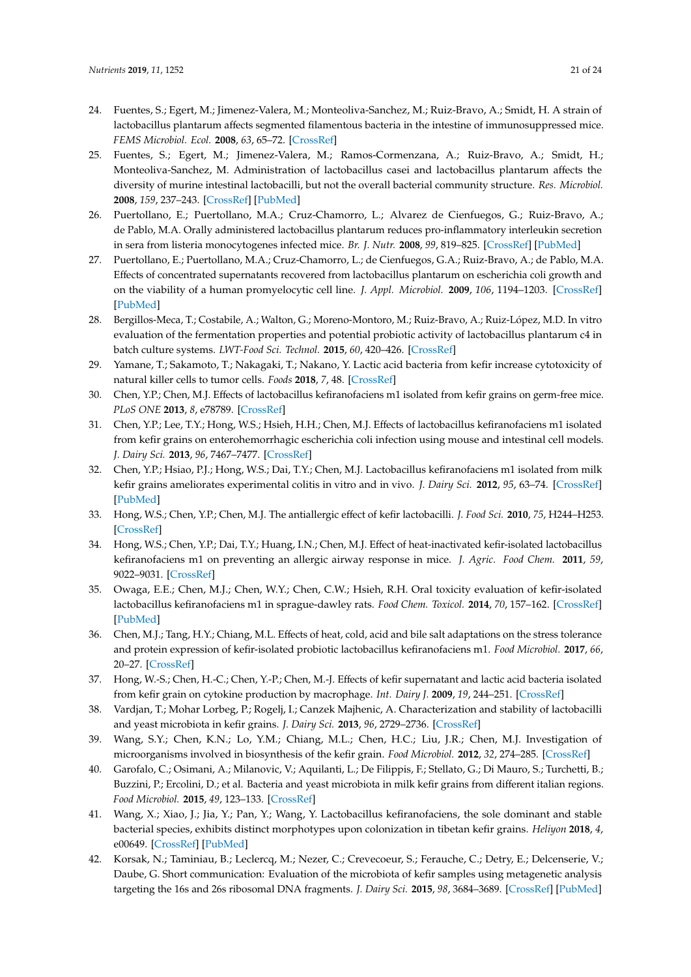- <span id="page-20-8"></span><span id="page-20-2"></span><span id="page-20-1"></span><span id="page-20-0"></span>24. Fuentes, S.; Egert, M.; Jimenez-Valera, M.; Monteoliva-Sanchez, M.; Ruiz-Bravo, A.; Smidt, H. A strain of lactobacillus plantarum affects segmented filamentous bacteria in the intestine of immunosuppressed mice. *FEMS Microbiol. Ecol.* **2008**, *63*, 65–72. [\[CrossRef\]](http://dx.doi.org/10.1111/j.1574-6941.2007.00411.x)
- 25. Fuentes, S.; Egert, M.; Jimenez-Valera, M.; Ramos-Cormenzana, A.; Ruiz-Bravo, A.; Smidt, H.; Monteoliva-Sanchez, M. Administration of lactobacillus casei and lactobacillus plantarum affects the diversity of murine intestinal lactobacilli, but not the overall bacterial community structure. *Res. Microbiol.* **2008**, *159*, 237–243. [\[CrossRef\]](http://dx.doi.org/10.1016/j.resmic.2008.02.005) [\[PubMed\]](http://www.ncbi.nlm.nih.gov/pubmed/18439805)
- <span id="page-20-9"></span>26. Puertollano, E.; Puertollano, M.A.; Cruz-Chamorro, L.; Alvarez de Cienfuegos, G.; Ruiz-Bravo, A.; de Pablo, M.A. Orally administered lactobacillus plantarum reduces pro-inflammatory interleukin secretion in sera from listeria monocytogenes infected mice. *Br. J. Nutr.* **2008**, *99*, 819–825. [\[CrossRef\]](http://dx.doi.org/10.1017/S0007114507832533) [\[PubMed\]](http://www.ncbi.nlm.nih.gov/pubmed/17894920)
- <span id="page-20-10"></span>27. Puertollano, E.; Puertollano, M.A.; Cruz-Chamorro, L.; de Cienfuegos, G.A.; Ruiz-Bravo, A.; de Pablo, M.A. Effects of concentrated supernatants recovered from lactobacillus plantarum on escherichia coli growth and on the viability of a human promyelocytic cell line. *J. Appl. Microbiol.* **2009**, *106*, 1194–1203. [\[CrossRef\]](http://dx.doi.org/10.1111/j.1365-2672.2008.04086.x) [\[PubMed\]](http://www.ncbi.nlm.nih.gov/pubmed/19187147)
- 28. Bergillos-Meca, T.; Costabile, A.; Walton, G.; Moreno-Montoro, M.; Ruiz-Bravo, A.; Ruiz-López, M.D. In vitro evaluation of the fermentation properties and potential probiotic activity of lactobacillus plantarum c4 in batch culture systems. *LWT-Food Sci. Technol.* **2015**, *60*, 420–426. [\[CrossRef\]](http://dx.doi.org/10.1016/j.lwt.2014.08.006)
- <span id="page-20-11"></span>29. Yamane, T.; Sakamoto, T.; Nakagaki, T.; Nakano, Y. Lactic acid bacteria from kefir increase cytotoxicity of natural killer cells to tumor cells. *Foods* **2018**, *7*, 48. [\[CrossRef\]](http://dx.doi.org/10.3390/foods7040048)
- <span id="page-20-3"></span>30. Chen, Y.P.; Chen, M.J. Effects of lactobacillus kefiranofaciens m1 isolated from kefir grains on germ-free mice. *PLoS ONE* **2013**, *8*, e78789. [\[CrossRef\]](http://dx.doi.org/10.1371/journal.pone.0078789)
- <span id="page-20-5"></span><span id="page-20-4"></span>31. Chen, Y.P.; Lee, T.Y.; Hong, W.S.; Hsieh, H.H.; Chen, M.J. Effects of lactobacillus kefiranofaciens m1 isolated from kefir grains on enterohemorrhagic escherichia coli infection using mouse and intestinal cell models. *J. Dairy Sci.* **2013**, *96*, 7467–7477. [\[CrossRef\]](http://dx.doi.org/10.3168/jds.2013-7015)
- <span id="page-20-15"></span><span id="page-20-6"></span>32. Chen, Y.P.; Hsiao, P.J.; Hong, W.S.; Dai, T.Y.; Chen, M.J. Lactobacillus kefiranofaciens m1 isolated from milk kefir grains ameliorates experimental colitis in vitro and in vivo. *J. Dairy Sci.* **2012**, *95*, 63–74. [\[CrossRef\]](http://dx.doi.org/10.3168/jds.2011-4696) [\[PubMed\]](http://www.ncbi.nlm.nih.gov/pubmed/22192184)
- <span id="page-20-13"></span>33. Hong, W.S.; Chen, Y.P.; Chen, M.J. The antiallergic effect of kefir lactobacilli. *J. Food Sci.* **2010**, *75*, H244–H253. [\[CrossRef\]](http://dx.doi.org/10.1111/j.1750-3841.2010.01787.x)
- <span id="page-20-14"></span>34. Hong, W.S.; Chen, Y.P.; Dai, T.Y.; Huang, I.N.; Chen, M.J. Effect of heat-inactivated kefir-isolated lactobacillus kefiranofaciens m1 on preventing an allergic airway response in mice. *J. Agric. Food Chem.* **2011**, *59*, 9022–9031. [\[CrossRef\]](http://dx.doi.org/10.1021/jf201913x)
- <span id="page-20-16"></span><span id="page-20-7"></span>35. Owaga, E.E.; Chen, M.J.; Chen, W.Y.; Chen, C.W.; Hsieh, R.H. Oral toxicity evaluation of kefir-isolated lactobacillus kefiranofaciens m1 in sprague-dawley rats. *Food Chem. Toxicol.* **2014**, *70*, 157–162. [\[CrossRef\]](http://dx.doi.org/10.1016/j.fct.2014.05.005) [\[PubMed\]](http://www.ncbi.nlm.nih.gov/pubmed/24842838)
- 36. Chen, M.J.; Tang, H.Y.; Chiang, M.L. Effects of heat, cold, acid and bile salt adaptations on the stress tolerance and protein expression of kefir-isolated probiotic lactobacillus kefiranofaciens m1. *Food Microbiol.* **2017**, *66*, 20–27. [\[CrossRef\]](http://dx.doi.org/10.1016/j.fm.2017.03.020)
- <span id="page-20-12"></span>37. Hong, W.-S.; Chen, H.-C.; Chen, Y.-P.; Chen, M.-J. Effects of kefir supernatant and lactic acid bacteria isolated from kefir grain on cytokine production by macrophage. *Int. Dairy J.* **2009**, *19*, 244–251. [\[CrossRef\]](http://dx.doi.org/10.1016/j.idairyj.2008.10.010)
- 38. Vardjan, T.; Mohar Lorbeg, P.; Rogelj, I.; Canzek Majhenic, A. Characterization and stability of lactobacilli and yeast microbiota in kefir grains. *J. Dairy Sci.* **2013**, *96*, 2729–2736. [\[CrossRef\]](http://dx.doi.org/10.3168/jds.2012-5829)
- 39. Wang, S.Y.; Chen, K.N.; Lo, Y.M.; Chiang, M.L.; Chen, H.C.; Liu, J.R.; Chen, M.J. Investigation of microorganisms involved in biosynthesis of the kefir grain. *Food Microbiol.* **2012**, *32*, 274–285. [\[CrossRef\]](http://dx.doi.org/10.1016/j.fm.2012.07.001)
- 40. Garofalo, C.; Osimani, A.; Milanovic, V.; Aquilanti, L.; De Filippis, F.; Stellato, G.; Di Mauro, S.; Turchetti, B.; Buzzini, P.; Ercolini, D.; et al. Bacteria and yeast microbiota in milk kefir grains from different italian regions. *Food Microbiol.* **2015**, *49*, 123–133. [\[CrossRef\]](http://dx.doi.org/10.1016/j.fm.2015.01.017)
- 41. Wang, X.; Xiao, J.; Jia, Y.; Pan, Y.; Wang, Y. Lactobacillus kefiranofaciens, the sole dominant and stable bacterial species, exhibits distinct morphotypes upon colonization in tibetan kefir grains. *Heliyon* **2018**, *4*, e00649. [\[CrossRef\]](http://dx.doi.org/10.1016/j.heliyon.2018.e00649) [\[PubMed\]](http://www.ncbi.nlm.nih.gov/pubmed/30009271)
- 42. Korsak, N.; Taminiau, B.; Leclercq, M.; Nezer, C.; Crevecoeur, S.; Ferauche, C.; Detry, E.; Delcenserie, V.; Daube, G. Short communication: Evaluation of the microbiota of kefir samples using metagenetic analysis targeting the 16s and 26s ribosomal DNA fragments. *J. Dairy Sci.* **2015**, *98*, 3684–3689. [\[CrossRef\]](http://dx.doi.org/10.3168/jds.2014-9065) [\[PubMed\]](http://www.ncbi.nlm.nih.gov/pubmed/25828663)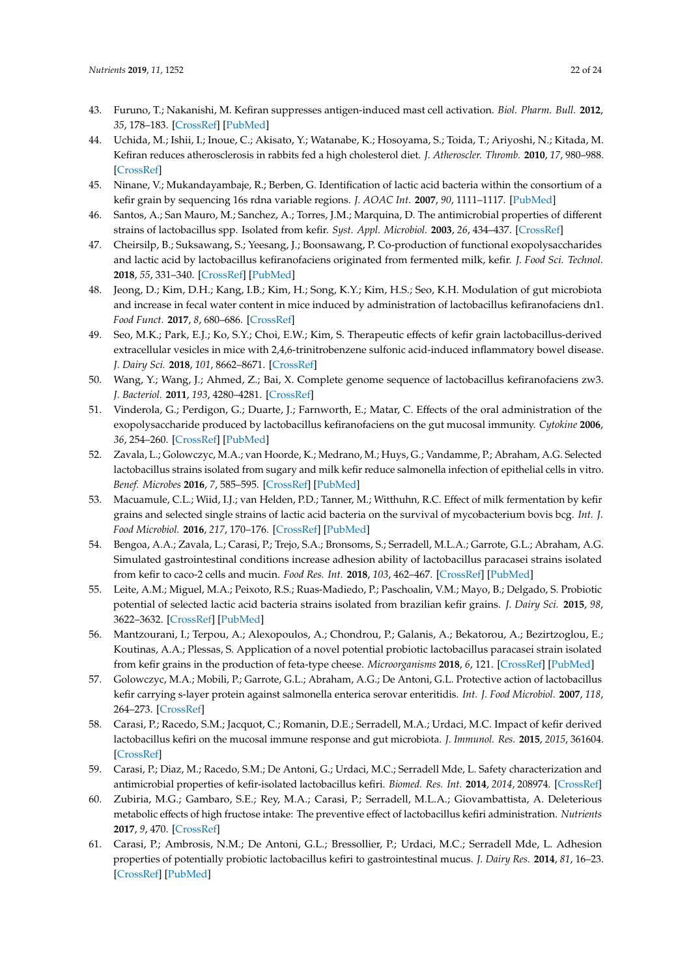- <span id="page-21-19"></span><span id="page-21-6"></span><span id="page-21-5"></span><span id="page-21-4"></span><span id="page-21-3"></span><span id="page-21-2"></span><span id="page-21-1"></span><span id="page-21-0"></span>43. Furuno, T.; Nakanishi, M. Kefiran suppresses antigen-induced mast cell activation. *Biol. Pharm. Bull.* **2012**, *35*, 178–183. [\[CrossRef\]](http://dx.doi.org/10.1248/bpb.35.178) [\[PubMed\]](http://www.ncbi.nlm.nih.gov/pubmed/22293347)
- <span id="page-21-18"></span><span id="page-21-7"></span>44. Uchida, M.; Ishii, I.; Inoue, C.; Akisato, Y.; Watanabe, K.; Hosoyama, S.; Toida, T.; Ariyoshi, N.; Kitada, M. Kefiran reduces atherosclerosis in rabbits fed a high cholesterol diet. *J. Atheroscler. Thromb.* **2010**, *17*, 980–988. [\[CrossRef\]](http://dx.doi.org/10.5551/jat.4812)
- 45. Ninane, V.; Mukandayambaje, R.; Berben, G. Identification of lactic acid bacteria within the consortium of a kefir grain by sequencing 16s rdna variable regions. *J. AOAC Int.* **2007**, *90*, 1111–1117. [\[PubMed\]](http://www.ncbi.nlm.nih.gov/pubmed/17760349)
- <span id="page-21-8"></span>46. Santos, A.; San Mauro, M.; Sanchez, A.; Torres, J.M.; Marquina, D. The antimicrobial properties of different strains of lactobacillus spp. Isolated from kefir. *Syst. Appl. Microbiol.* **2003**, *26*, 434–437. [\[CrossRef\]](http://dx.doi.org/10.1078/072320203322497464)
- <span id="page-21-9"></span>47. Cheirsilp, B.; Suksawang, S.; Yeesang, J.; Boonsawang, P. Co-production of functional exopolysaccharides and lactic acid by lactobacillus kefiranofaciens originated from fermented milk, kefir. *J. Food Sci. Technol.* **2018**, *55*, 331–340. [\[CrossRef\]](http://dx.doi.org/10.1007/s13197-017-2943-7) [\[PubMed\]](http://www.ncbi.nlm.nih.gov/pubmed/29358826)
- <span id="page-21-15"></span><span id="page-21-10"></span>48. Jeong, D.; Kim, D.H.; Kang, I.B.; Kim, H.; Song, K.Y.; Kim, H.S.; Seo, K.H. Modulation of gut microbiota and increase in fecal water content in mice induced by administration of lactobacillus kefiranofaciens dn1. *Food Funct.* **2017**, *8*, 680–686. [\[CrossRef\]](http://dx.doi.org/10.1039/C6FO01559J)
- <span id="page-21-16"></span><span id="page-21-11"></span>49. Seo, M.K.; Park, E.J.; Ko, S.Y.; Choi, E.W.; Kim, S. Therapeutic effects of kefir grain lactobacillus-derived extracellular vesicles in mice with 2,4,6-trinitrobenzene sulfonic acid-induced inflammatory bowel disease. *J. Dairy Sci.* **2018**, *101*, 8662–8671. [\[CrossRef\]](http://dx.doi.org/10.3168/jds.2018-15014)
- <span id="page-21-12"></span>50. Wang, Y.; Wang, J.; Ahmed, Z.; Bai, X. Complete genome sequence of lactobacillus kefiranofaciens zw3. *J. Bacteriol.* **2011**, *193*, 4280–4281. [\[CrossRef\]](http://dx.doi.org/10.1128/JB.05306-11)
- <span id="page-21-17"></span>51. Vinderola, G.; Perdigon, G.; Duarte, J.; Farnworth, E.; Matar, C. Effects of the oral administration of the exopolysaccharide produced by lactobacillus kefiranofaciens on the gut mucosal immunity. *Cytokine* **2006**, *36*, 254–260. [\[CrossRef\]](http://dx.doi.org/10.1016/j.cyto.2007.01.003) [\[PubMed\]](http://www.ncbi.nlm.nih.gov/pubmed/17363262)
- <span id="page-21-25"></span><span id="page-21-13"></span>52. Zavala, L.; Golowczyc, M.A.; van Hoorde, K.; Medrano, M.; Huys, G.; Vandamme, P.; Abraham, A.G. Selected lactobacillus strains isolated from sugary and milk kefir reduce salmonella infection of epithelial cells in vitro. *Benef. Microbes* **2016**, *7*, 585–595. [\[CrossRef\]](http://dx.doi.org/10.3920/BM2015.0196) [\[PubMed\]](http://www.ncbi.nlm.nih.gov/pubmed/27291404)
- <span id="page-21-27"></span>53. Macuamule, C.L.; Wiid, I.J.; van Helden, P.D.; Tanner, M.; Witthuhn, R.C. Effect of milk fermentation by kefir grains and selected single strains of lactic acid bacteria on the survival of mycobacterium bovis bcg. *Int. J. Food Microbiol.* **2016**, *217*, 170–176. [\[CrossRef\]](http://dx.doi.org/10.1016/j.ijfoodmicro.2015.10.024) [\[PubMed\]](http://www.ncbi.nlm.nih.gov/pubmed/26544204)
- <span id="page-21-14"></span>54. Bengoa, A.A.; Zavala, L.; Carasi, P.; Trejo, S.A.; Bronsoms, S.; Serradell, M.L.A.; Garrote, G.L.; Abraham, A.G. Simulated gastrointestinal conditions increase adhesion ability of lactobacillus paracasei strains isolated from kefir to caco-2 cells and mucin. *Food Res. Int.* **2018**, *103*, 462–467. [\[CrossRef\]](http://dx.doi.org/10.1016/j.foodres.2017.09.093) [\[PubMed\]](http://www.ncbi.nlm.nih.gov/pubmed/29389636)
- <span id="page-21-26"></span>55. Leite, A.M.; Miguel, M.A.; Peixoto, R.S.; Ruas-Madiedo, P.; Paschoalin, V.M.; Mayo, B.; Delgado, S. Probiotic potential of selected lactic acid bacteria strains isolated from brazilian kefir grains. *J. Dairy Sci.* **2015**, *98*, 3622–3632. [\[CrossRef\]](http://dx.doi.org/10.3168/jds.2014-9265) [\[PubMed\]](http://www.ncbi.nlm.nih.gov/pubmed/25841972)
- 56. Mantzourani, I.; Terpou, A.; Alexopoulos, A.; Chondrou, P.; Galanis, A.; Bekatorou, A.; Bezirtzoglou, E.; Koutinas, A.A.; Plessas, S. Application of a novel potential probiotic lactobacillus paracasei strain isolated from kefir grains in the production of feta-type cheese. *Microorganisms* **2018**, *6*, 121. [\[CrossRef\]](http://dx.doi.org/10.3390/microorganisms6040121) [\[PubMed\]](http://www.ncbi.nlm.nih.gov/pubmed/30501107)
- <span id="page-21-20"></span>57. Golowczyc, M.A.; Mobili, P.; Garrote, G.L.; Abraham, A.G.; De Antoni, G.L. Protective action of lactobacillus kefir carrying s-layer protein against salmonella enterica serovar enteritidis. *Int. J. Food Microbiol.* **2007**, *118*, 264–273. [\[CrossRef\]](http://dx.doi.org/10.1016/j.ijfoodmicro.2007.07.042)
- <span id="page-21-23"></span>58. Carasi, P.; Racedo, S.M.; Jacquot, C.; Romanin, D.E.; Serradell, M.A.; Urdaci, M.C. Impact of kefir derived lactobacillus kefiri on the mucosal immune response and gut microbiota. *J. Immunol. Res.* **2015**, *2015*, 361604. [\[CrossRef\]](http://dx.doi.org/10.1155/2015/361604)
- <span id="page-21-22"></span>59. Carasi, P.; Diaz, M.; Racedo, S.M.; De Antoni, G.; Urdaci, M.C.; Serradell Mde, L. Safety characterization and antimicrobial properties of kefir-isolated lactobacillus kefiri. *Biomed. Res. Int.* **2014**, *2014*, 208974. [\[CrossRef\]](http://dx.doi.org/10.1155/2014/208974)
- <span id="page-21-24"></span>60. Zubiria, M.G.; Gambaro, S.E.; Rey, M.A.; Carasi, P.; Serradell, M.L.A.; Giovambattista, A. Deleterious metabolic effects of high fructose intake: The preventive effect of lactobacillus kefiri administration. *Nutrients* **2017**, *9*, 470. [\[CrossRef\]](http://dx.doi.org/10.3390/nu9050470)
- <span id="page-21-21"></span>61. Carasi, P.; Ambrosis, N.M.; De Antoni, G.L.; Bressollier, P.; Urdaci, M.C.; Serradell Mde, L. Adhesion properties of potentially probiotic lactobacillus kefiri to gastrointestinal mucus. *J. Dairy Res.* **2014**, *81*, 16–23. [\[CrossRef\]](http://dx.doi.org/10.1017/S0022029913000526) [\[PubMed\]](http://www.ncbi.nlm.nih.gov/pubmed/24168928)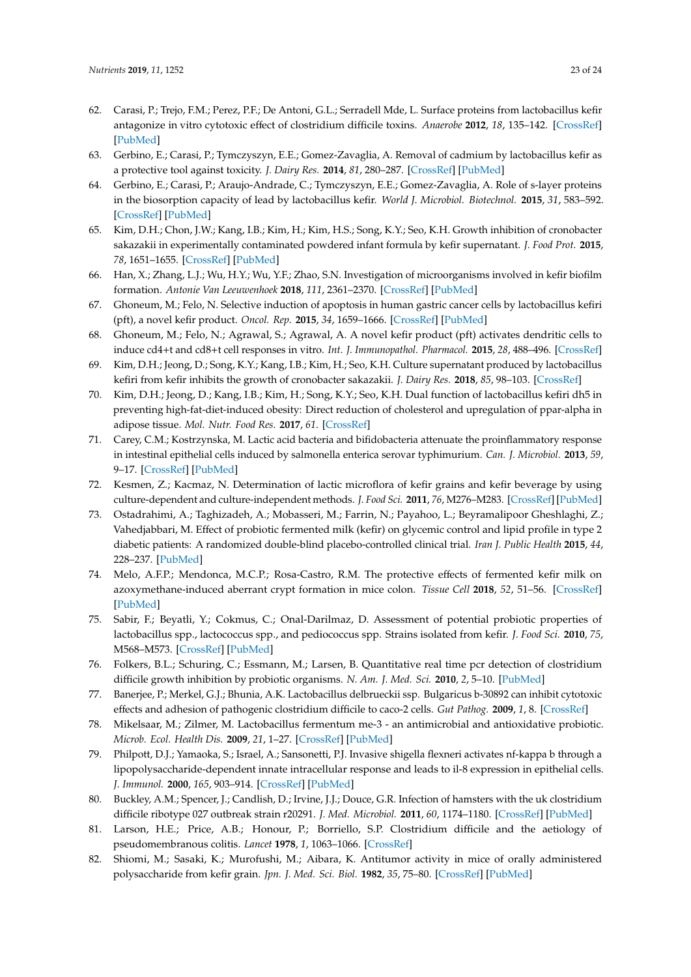- <span id="page-22-20"></span><span id="page-22-7"></span><span id="page-22-6"></span><span id="page-22-5"></span><span id="page-22-4"></span><span id="page-22-3"></span><span id="page-22-2"></span><span id="page-22-1"></span><span id="page-22-0"></span>62. Carasi, P.; Trejo, F.M.; Perez, P.F.; De Antoni, G.L.; Serradell Mde, L. Surface proteins from lactobacillus kefir antagonize in vitro cytotoxic effect of clostridium difficile toxins. *Anaerobe* **2012**, *18*, 135–142. [\[CrossRef\]](http://dx.doi.org/10.1016/j.anaerobe.2011.11.002) [\[PubMed\]](http://www.ncbi.nlm.nih.gov/pubmed/22126976)
- <span id="page-22-25"></span><span id="page-22-8"></span>63. Gerbino, E.; Carasi, P.; Tymczyszyn, E.E.; Gomez-Zavaglia, A. Removal of cadmium by lactobacillus kefir as a protective tool against toxicity. *J. Dairy Res.* **2014**, *81*, 280–287. [\[CrossRef\]](http://dx.doi.org/10.1017/S0022029914000314) [\[PubMed\]](http://www.ncbi.nlm.nih.gov/pubmed/24960206)
- <span id="page-22-9"></span>64. Gerbino, E.; Carasi, P.; Araujo-Andrade, C.; Tymczyszyn, E.E.; Gomez-Zavaglia, A. Role of s-layer proteins in the biosorption capacity of lead by lactobacillus kefir. *World J. Microbiol. Biotechnol.* **2015**, *31*, 583–592. [\[CrossRef\]](http://dx.doi.org/10.1007/s11274-015-1812-7) [\[PubMed\]](http://www.ncbi.nlm.nih.gov/pubmed/25653110)
- <span id="page-22-10"></span>65. Kim, D.H.; Chon, J.W.; Kang, I.B.; Kim, H.; Kim, H.S.; Song, K.Y.; Seo, K.H. Growth inhibition of cronobacter sakazakii in experimentally contaminated powdered infant formula by kefir supernatant. *J. Food Prot.* **2015**, *78*, 1651–1655. [\[CrossRef\]](http://dx.doi.org/10.4315/0362-028X.JFP-15-119) [\[PubMed\]](http://www.ncbi.nlm.nih.gov/pubmed/26319718)
- <span id="page-22-11"></span>66. Han, X.; Zhang, L.J.; Wu, H.Y.; Wu, Y.F.; Zhao, S.N. Investigation of microorganisms involved in kefir biofilm formation. *Antonie Van Leeuwenhoek* **2018**, *111*, 2361–2370. [\[CrossRef\]](http://dx.doi.org/10.1007/s10482-018-1125-6) [\[PubMed\]](http://www.ncbi.nlm.nih.gov/pubmed/30043188)
- <span id="page-22-22"></span>67. Ghoneum, M.; Felo, N. Selective induction of apoptosis in human gastric cancer cells by lactobacillus kefiri (pft), a novel kefir product. *Oncol. Rep.* **2015**, *34*, 1659–1666. [\[CrossRef\]](http://dx.doi.org/10.3892/or.2015.4180) [\[PubMed\]](http://www.ncbi.nlm.nih.gov/pubmed/26251956)
- <span id="page-22-21"></span><span id="page-22-12"></span>68. Ghoneum, M.; Felo, N.; Agrawal, S.; Agrawal, A. A novel kefir product (pft) activates dendritic cells to induce cd4+t and cd8+t cell responses in vitro. *Int. J. Immunopathol. Pharmacol.* **2015**, *28*, 488–496. [\[CrossRef\]](http://dx.doi.org/10.1177/0394632015599447)
- <span id="page-22-24"></span><span id="page-22-13"></span>69. Kim, D.H.; Jeong, D.; Song, K.Y.; Kang, I.B.; Kim, H.; Seo, K.H. Culture supernatant produced by lactobacillus kefiri from kefir inhibits the growth of cronobacter sakazakii. *J. Dairy Res.* **2018**, *85*, 98–103. [\[CrossRef\]](http://dx.doi.org/10.1017/S0022029917000802)
- <span id="page-22-23"></span><span id="page-22-14"></span>70. Kim, D.H.; Jeong, D.; Kang, I.B.; Kim, H.; Song, K.Y.; Seo, K.H. Dual function of lactobacillus kefiri dh5 in preventing high-fat-diet-induced obesity: Direct reduction of cholesterol and upregulation of ppar-alpha in adipose tissue. *Mol. Nutr. Food Res.* **2017**, *61*. [\[CrossRef\]](http://dx.doi.org/10.1002/mnfr.201700252)
- <span id="page-22-26"></span><span id="page-22-15"></span>71. Carey, C.M.; Kostrzynska, M. Lactic acid bacteria and bifidobacteria attenuate the proinflammatory response in intestinal epithelial cells induced by salmonella enterica serovar typhimurium. *Can. J. Microbiol.* **2013**, *59*, 9–17. [\[CrossRef\]](http://dx.doi.org/10.1139/cjm-2012-0446) [\[PubMed\]](http://www.ncbi.nlm.nih.gov/pubmed/23391223)
- 72. Kesmen, Z.; Kacmaz, N. Determination of lactic microflora of kefir grains and kefir beverage by using culture-dependent and culture-independent methods. *J. Food Sci.* **2011**, *76*, M276–M283. [\[CrossRef\]](http://dx.doi.org/10.1111/j.1750-3841.2011.02191.x) [\[PubMed\]](http://www.ncbi.nlm.nih.gov/pubmed/22417438)
- <span id="page-22-28"></span>73. Ostadrahimi, A.; Taghizadeh, A.; Mobasseri, M.; Farrin, N.; Payahoo, L.; Beyramalipoor Gheshlaghi, Z.; Vahedjabbari, M. Effect of probiotic fermented milk (kefir) on glycemic control and lipid profile in type 2 diabetic patients: A randomized double-blind placebo-controlled clinical trial. *Iran J. Public Health* **2015**, *44*, 228–237. [\[PubMed\]](http://www.ncbi.nlm.nih.gov/pubmed/25905057)
- 74. Melo, A.F.P.; Mendonca, M.C.P.; Rosa-Castro, R.M. The protective effects of fermented kefir milk on azoxymethane-induced aberrant crypt formation in mice colon. *Tissue Cell* **2018**, *52*, 51–56. [\[CrossRef\]](http://dx.doi.org/10.1016/j.tice.2018.03.013) [\[PubMed\]](http://www.ncbi.nlm.nih.gov/pubmed/29857828)
- <span id="page-22-27"></span>75. Sabir, F.; Beyatli, Y.; Cokmus, C.; Onal-Darilmaz, D. Assessment of potential probiotic properties of lactobacillus spp., lactococcus spp., and pediococcus spp. Strains isolated from kefir. *J. Food Sci.* **2010**, *75*, M568–M573. [\[CrossRef\]](http://dx.doi.org/10.1111/j.1750-3841.2010.01855.x) [\[PubMed\]](http://www.ncbi.nlm.nih.gov/pubmed/21535612)
- <span id="page-22-30"></span>76. Folkers, B.L.; Schuring, C.; Essmann, M.; Larsen, B. Quantitative real time pcr detection of clostridium difficile growth inhibition by probiotic organisms. *N. Am. J. Med. Sci.* **2010**, *2*, 5–10. [\[PubMed\]](http://www.ncbi.nlm.nih.gov/pubmed/22624106)
- <span id="page-22-29"></span>77. Banerjee, P.; Merkel, G.J.; Bhunia, A.K. Lactobacillus delbrueckii ssp. Bulgaricus b-30892 can inhibit cytotoxic effects and adhesion of pathogenic clostridium difficile to caco-2 cells. *Gut Pathog.* **2009**, *1*, 8. [\[CrossRef\]](http://dx.doi.org/10.1186/1757-4749-1-8)
- 78. Mikelsaar, M.; Zilmer, M. Lactobacillus fermentum me-3 an antimicrobial and antioxidative probiotic. *Microb. Ecol. Health Dis.* **2009**, *21*, 1–27. [\[CrossRef\]](http://dx.doi.org/10.1080/08910600902815561) [\[PubMed\]](http://www.ncbi.nlm.nih.gov/pubmed/19381356)
- <span id="page-22-16"></span>79. Philpott, D.J.; Yamaoka, S.; Israel, A.; Sansonetti, P.J. Invasive shigella flexneri activates nf-kappa b through a lipopolysaccharide-dependent innate intracellular response and leads to il-8 expression in epithelial cells. *J. Immunol.* **2000**, *165*, 903–914. [\[CrossRef\]](http://dx.doi.org/10.4049/jimmunol.165.2.903) [\[PubMed\]](http://www.ncbi.nlm.nih.gov/pubmed/10878365)
- <span id="page-22-17"></span>80. Buckley, A.M.; Spencer, J.; Candlish, D.; Irvine, J.J.; Douce, G.R. Infection of hamsters with the uk clostridium difficile ribotype 027 outbreak strain r20291. *J. Med. Microbiol.* **2011**, *60*, 1174–1180. [\[CrossRef\]](http://dx.doi.org/10.1099/jmm.0.028514-0) [\[PubMed\]](http://www.ncbi.nlm.nih.gov/pubmed/21330415)
- <span id="page-22-18"></span>81. Larson, H.E.; Price, A.B.; Honour, P.; Borriello, S.P. Clostridium difficile and the aetiology of pseudomembranous colitis. *Lancet* **1978**, *1*, 1063–1066. [\[CrossRef\]](http://dx.doi.org/10.1016/S0140-6736(78)90912-1)
- <span id="page-22-19"></span>82. Shiomi, M.; Sasaki, K.; Murofushi, M.; Aibara, K. Antitumor activity in mice of orally administered polysaccharide from kefir grain. *Jpn. J. Med. Sci. Biol.* **1982**, *35*, 75–80. [\[CrossRef\]](http://dx.doi.org/10.7883/yoken1952.35.75) [\[PubMed\]](http://www.ncbi.nlm.nih.gov/pubmed/7109321)